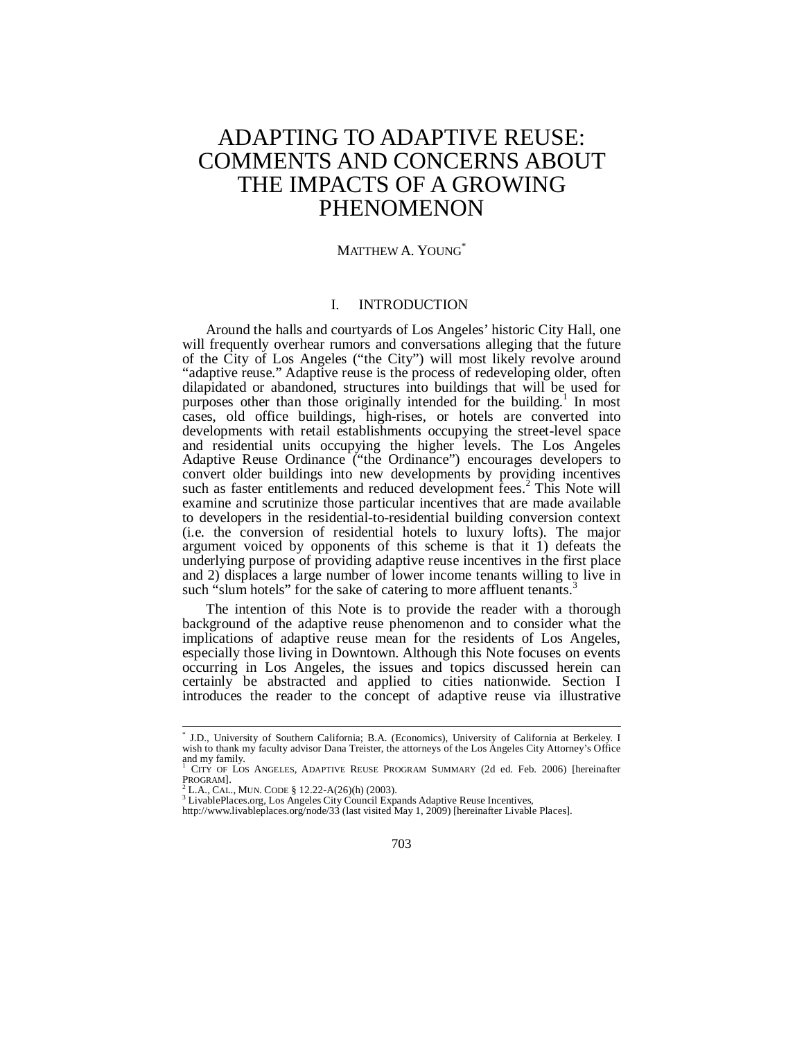# ADAPTING TO ADAPTIVE REUSE: COMMENTS AND CONCERNS ABOUT THE IMPACTS OF A GROWING PHENOMENON

# MATTHEW A. YOUNG<sup>\*</sup>

# I. INTRODUCTION

Around the halls and courtyards of Los Angeles' historic City Hall, one will frequently overhear rumors and conversations alleging that the future of the City of Los Angeles ("the City") will most likely revolve around "adaptive reuse." Adaptive reuse is the process of redeveloping older, often dilapidated or abandoned, structures into buildings that will be used for purposes other than those originally intended for the building.<sup>1</sup> In most cases, old office buildings, high-rises, or hotels are converted into developments with retail establishments occupying the street-level space and residential units occupying the higher levels. The Los Angeles Adaptive Reuse Ordinance ("the Ordinance") encourages developers to convert older buildings into new developments by providing incentives such as faster entitlements and reduced development fees.<sup>2</sup> This Note will examine and scrutinize those particular incentives that are made available to developers in the residential-to-residential building conversion context (i.e. the conversion of residential hotels to luxury lofts). The major argument voiced by opponents of this scheme is that it 1) defeats the underlying purpose of providing adaptive reuse incentives in the first place and 2) displaces a large number of lower income tenants willing to live in such "slum hotels" for the sake of catering to more affluent tenants.

The intention of this Note is to provide the reader with a thorough background of the adaptive reuse phenomenon and to consider what the implications of adaptive reuse mean for the residents of Los Angeles, especially those living in Downtown. Although this Note focuses on events occurring in Los Angeles, the issues and topics discussed herein can certainly be abstracted and applied to cities nationwide. Section I introduces the reader to the concept of adaptive reuse via illustrative

 \* J.D., University of Southern California; B.A. (Economics), University of California at Berkeley. I wish to thank my faculty advisor Dana Treister, the attorneys of the Los Angeles City Attorney's Office and my family.<br> $\frac{1}{1}$  CITY OF LOS

CITY OF LOS ANGELES, ADAPTIVE REUSE PROGRAM SUMMARY (2d ed. Feb. 2006) [hereinafter PROGRAM].<br><sup>2</sup> L.A., CAL., MUN. CODE § 12.22-A(26)(h) (2003).

<sup>&</sup>lt;sup>2</sup> L.A., CAL., MUN. CODE § 12.22-A(26)(h) (2003).<br><sup>3</sup> LivablePlaces.org, Los Angeles City Council Expands Adaptive Reuse Incentives,<br>http://www.livableplaces.org/node/33 (last visited May 1, 2009) [hereinafter Livable Pla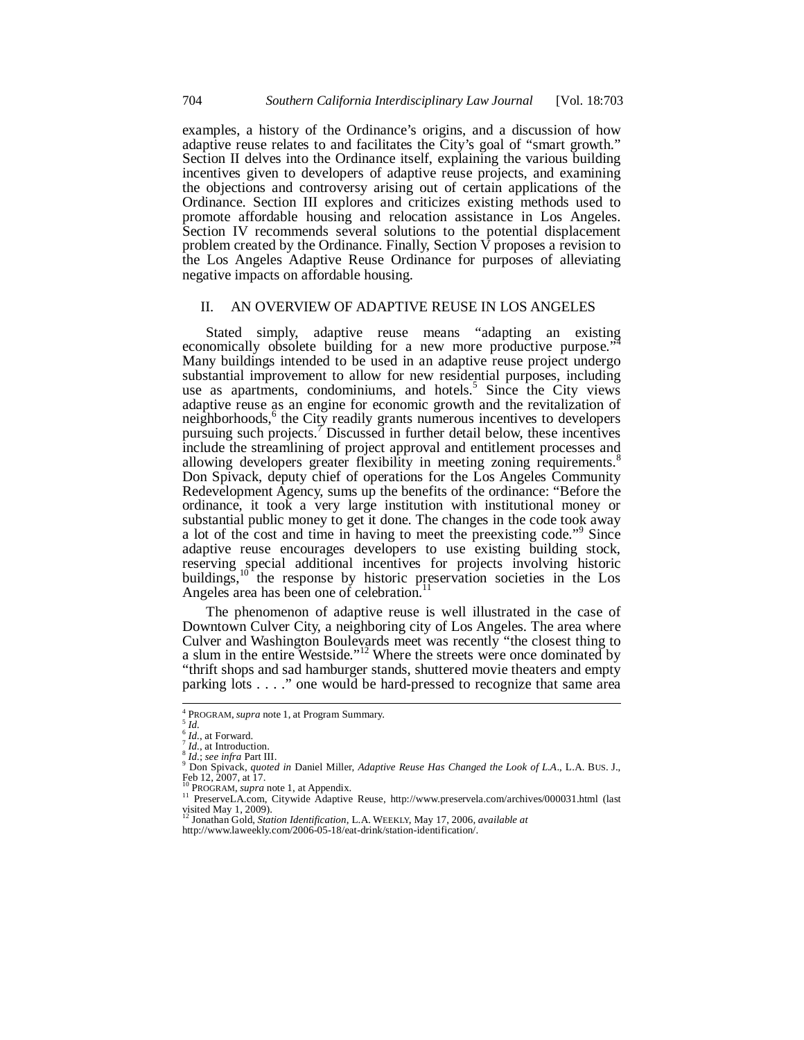examples, a history of the Ordinance's origins, and a discussion of how adaptive reuse relates to and facilitates the City's goal of "smart growth." Section II delves into the Ordinance itself, explaining the various building incentives given to developers of adaptive reuse projects, and examining the objections and controversy arising out of certain applications of the Ordinance. Section III explores and criticizes existing methods used to promote affordable housing and relocation assistance in Los Angeles. Section IV recommends several solutions to the potential displacement problem created by the Ordinance. Finally, Section  $\overline{V}$  proposes a revision to the Los Angeles Adaptive Reuse Ordinance for purposes of alleviating negative impacts on affordable housing.

## II. AN OVERVIEW OF ADAPTIVE REUSE IN LOS ANGELES

Stated simply, adaptive reuse means "adapting an existing economically obsolete building for a new more productive purpose.' Many buildings intended to be used in an adaptive reuse project undergo substantial improvement to allow for new residential purposes, including use as apartments, condominiums, and hotels.<sup>5</sup> Since the City views adaptive reuse as an engine for economic growth and the revitalization of neighborhoods,<sup>6</sup> the City readily grants numerous incentives to developers pursuing such projects.  $\bar{7}$  Discussed in further detail below, these incentives include the streamlining of project approval and entitlement processes and allowing developers greater flexibility in meeting zoning requirements.<sup>8</sup> Don Spivack, deputy chief of operations for the Los Angeles Community Redevelopment Agency, sums up the benefits of the ordinance: "Before the ordinance, it took a very large institution with institutional money or substantial public money to get it done. The changes in the code took away a lot of the cost and time in having to meet the preexisting code."<sup>9</sup> Since adaptive reuse encourages developers to use existing building stock, reserving special additional incentives for projects involving historic buildings,<sup>10</sup> the response by historic preservation societies in the Los Angeles area has been one of celebration.<sup>1</sup>

The phenomenon of adaptive reuse is well illustrated in the case of Downtown Culver City, a neighboring city of Los Angeles. The area where Culver and Washington Boulevards meet was recently "the closest thing to a slum in the entire Westside."<sup>12</sup> Where the streets were once dominated by "thrift shops and sad hamburger stands, shuttered movie theaters and empty parking lots . . . ." one would be hard-pressed to recognize that same area

 4 PROGRAM, *supra* note 1, at Program Summary. 5 *Id.*

<sup>&</sup>lt;sup>6</sup> *Id.*<br><sup>6</sup> *Id.*, at Forward.<br><sup>7</sup> *Id.*, at Introduction.<br><sup>8</sup> *Id.*; *see infra* Part III.

*Don Spivack, quoted in Daniel Miller, Adaptive Reuse Has Changed the Look of L.A., L.A. Bus. J.,*<br>
The Spivack, *quoted in Daniel Miller, Adaptive Reuse Has Changed the Look of L.A., L.A. Bus. J.,* Feb 12, 2007, at 17.<br> ${}^{10}$ PROGRAM, *supra* note 1, at Appendix.

<sup>&</sup>lt;sup>11</sup> PreserveLA.com, Citywide Adaptive Reuse, http://www.preservela.com/archives/000031.html (last visited May 1, 2009). 12 Jonathan Gold, *Station Identification*, L.A. WEEKLY, May 17, 2006, *available at*

http://www.laweekly.com/2006-05-18/eat-drink/station-identification/.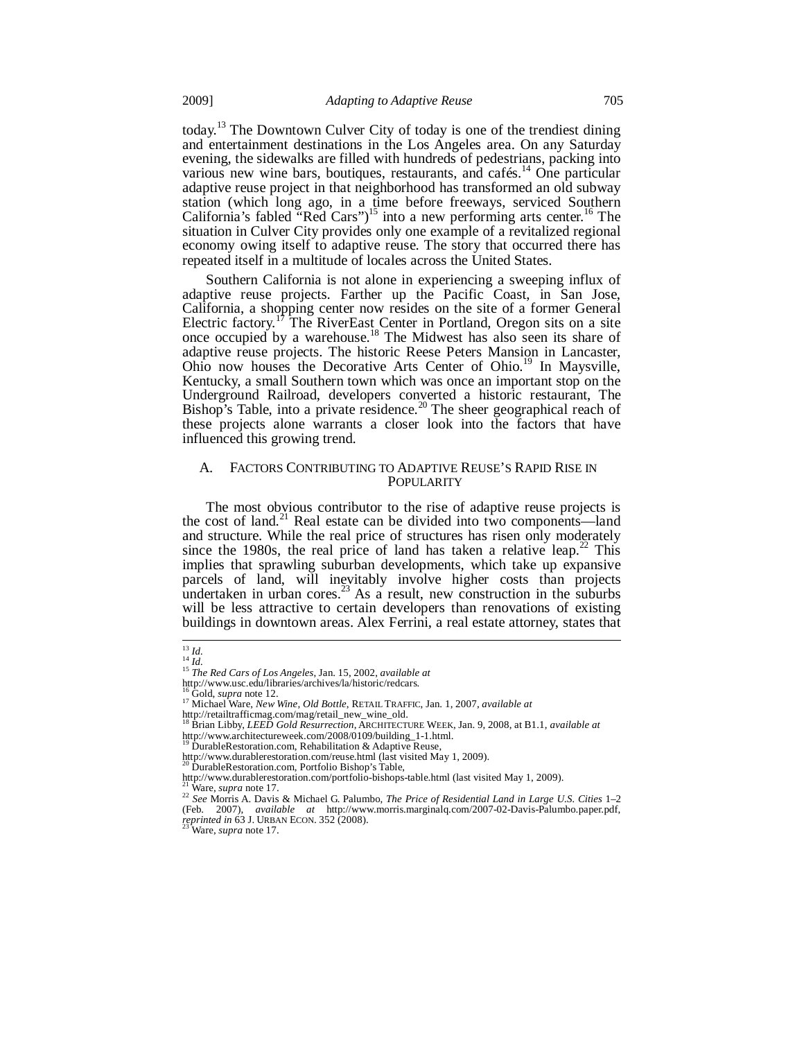today.13 The Downtown Culver City of today is one of the trendiest dining and entertainment destinations in the Los Angeles area. On any Saturday evening, the sidewalks are filled with hundreds of pedestrians, packing into various new wine bars, boutiques, restaurants, and cafés.<sup>14</sup> One particular adaptive reuse project in that neighborhood has transformed an old subway station (which long ago, in a time before freeways, serviced Southern California's fabled "Red Cars")<sup>15</sup> into a new performing arts center.<sup>16</sup> The situation in Culver City provides only one example of a revitalized regional economy owing itself to adaptive reuse. The story that occurred there has repeated itself in a multitude of locales across the United States.

Southern California is not alone in experiencing a sweeping influx of adaptive reuse projects. Farther up the Pacific Coast, in San Jose, California, a shopping center now resides on the site of a former General Electric factory.<sup>17</sup> The RiverEast Center in Portland, Oregon sits on a site once occupied by a warehouse.18 The Midwest has also seen its share of adaptive reuse projects. The historic Reese Peters Mansion in Lancaster, Ohio now houses the Decorative Arts Center of Ohio.19 In Maysville, Kentucky, a small Southern town which was once an important stop on the Underground Railroad, developers converted a historic restaurant, The Bishop's Table, into a private residence.<sup>20</sup> The sheer geographical reach of these projects alone warrants a closer look into the factors that have influenced this growing trend.

## A. FACTORS CONTRIBUTING TO ADAPTIVE REUSE'S RAPID RISE IN POPULARITY

The most obvious contributor to the rise of adaptive reuse projects is the cost of land.<sup>21</sup> Real estate can be divided into two components—land and structure. While the real price of structures has risen only moderately since the 1980s, the real price of land has taken a relative leap.<sup>22</sup> This implies that sprawling suburban developments, which take up expansive parcels of land, will inevitably involve higher costs than projects undertaken in urban cores.<sup>23</sup> As a result, new construction in the suburbs will be less attractive to certain developers than renovations of existing buildings in downtown areas. Alex Ferrini, a real estate attorney, states that

 $^{13}$  Id.

<sup>13</sup> *Id.* <sup>14</sup> *Id.* <sup>15</sup> *The Red Cars of Los Angeles*, Jan. 15, 2002, *available at* http://www.usc.edu/libraries/archives/la/historic/redcars.

<sup>16</sup> Gold, *supra* note 12.<br><sup>16</sup> Gold, *supra* note 12.<br><sup>17</sup> Michael Ware, *New Wine, Old Bottle*, RETAIL TRAFFIC, Jan. 1, 2007, *available at* 

http://retailtrafficmag.com/mag/retail\_new\_wine\_old. 18 Brian Libby, *LEED Gold Resurrection*, ARCHITECTURE WEEK, Jan. 9, 2008, at B1.1, *available at*  http://www.architectureweek.com/2008/0109/building\_1-1.html.<br><sup>19</sup> DurableRestoration.com, Rehabilitation & Adaptive Reuse,

http://www.durablerestoration.com/reuse.html (last visited May 1, 2009).<br><sup>20</sup> DurableRestoration.com, Portfolio Bishop's Table,

http://www.durablerestoration.com/portfolio-bishops-table.html (last visited May 1, 2009).<br>
<sup>21</sup> Ware, *supra* note 17.

<sup>21</sup> Ware, *supra* note 17. 22 *See* Morris A. Davis & Michael G. Palumbo, *The Price of Residential Land in Large U.S. Cities* 1–2 (Feb. 2007), *available at* http://www.morris.marginalq.com/2007-02-Davis-Palumbo.paper.pdf, *reprinted in* 63 J. URBAN ECON. 352 (2008).<br>*2<sup>3</sup>* Ware, *supra* note 17.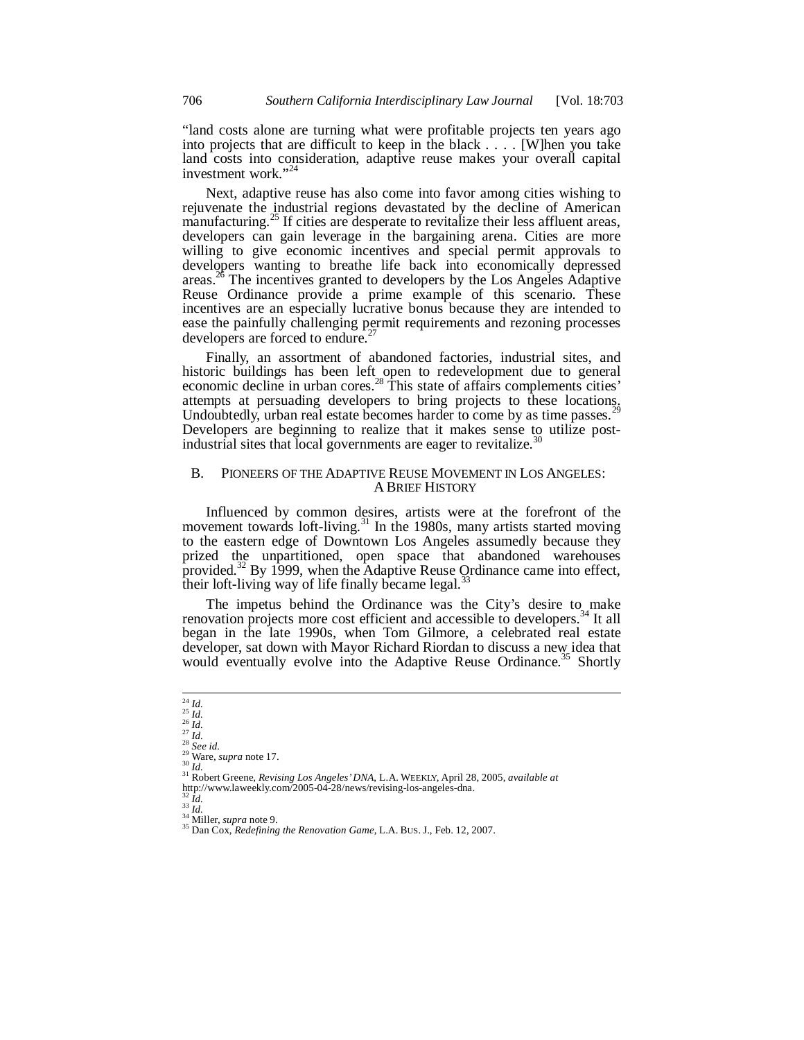"land costs alone are turning what were profitable projects ten years ago into projects that are difficult to keep in the black . . . . [W]hen you take land costs into consideration, adaptive reuse makes your overall capital investment work."<sup>24</sup>

Next, adaptive reuse has also come into favor among cities wishing to rejuvenate the industrial regions devastated by the decline of American manufacturing.<sup>25</sup> If cities are desperate to revitalize their less affluent areas, developers can gain leverage in the bargaining arena. Cities are more willing to give economic incentives and special permit approvals to developers wanting to breathe life back into economically depressed areas.26 The incentives granted to developers by the Los Angeles Adaptive Reuse Ordinance provide a prime example of this scenario. These incentives are an especially lucrative bonus because they are intended to ease the painfully challenging permit requirements and rezoning processes developers are forced to endure.<sup>2</sup>

Finally, an assortment of abandoned factories, industrial sites, and historic buildings has been left open to redevelopment due to general economic decline in urban cores.<sup>28</sup> This state of affairs complements cities' attempts at persuading developers to bring projects to these locations. Undoubtedly, urban real estate becomes harder to come by as time passes. Developers are beginning to realize that it makes sense to utilize postindustrial sites that local governments are eager to revitalize.<sup>3</sup>

## B. PIONEERS OF THE ADAPTIVE REUSE MOVEMENT IN LOS ANGELES: A BRIEF HISTORY

Influenced by common desires, artists were at the forefront of the movement towards loft-living.<sup>31</sup> In the 1980s, many artists started moving to the eastern edge of Downtown Los Angeles assumedly because they prized the unpartitioned, open space that abandoned warehouses provided.<sup>32</sup> By 1999, when the Adaptive Reuse Ordinance came into effect, their loft-living way of life finally became legal.<sup>33</sup>

The impetus behind the Ordinance was the City's desire to make renovation projects more cost efficient and accessible to developers.<sup>34</sup> It all began in the late 1990s, when Tom Gilmore, a celebrated real estate developer, sat down with Mayor Richard Riordan to discuss a new idea that would eventually evolve into the Adaptive Reuse Ordinance.<sup>35</sup> Shortly

 $\frac{1}{25}$  *Id.*<br> $\frac{25}{16}$  *Id.* 

<sup>&</sup>lt;sup>25</sup> *Id.*<br><sup>25</sup> *Id.*<br><sup>28</sup> *See id.*<br><sup>30</sup> Ware, *supra* note 17.<br><sup>30</sup> *Id.* <sup>31</sup> Robert Greene, *Revising Los Angeles' DNA*, L.A. WEEKLY, April 28, 2005, *available at* http://www.laweekly.com/2005-04-28/news/revising-los-angeles-dna.<br> $\frac{32 \text{ Id}}{1d}$ .

<sup>32</sup> *Id.* <sup>33</sup> *Id.* 34 Miller, *supra* note 9. 35 Dan Cox, *Redefining the Renovation Game*, L.A. BUS. J., Feb. 12, 2007.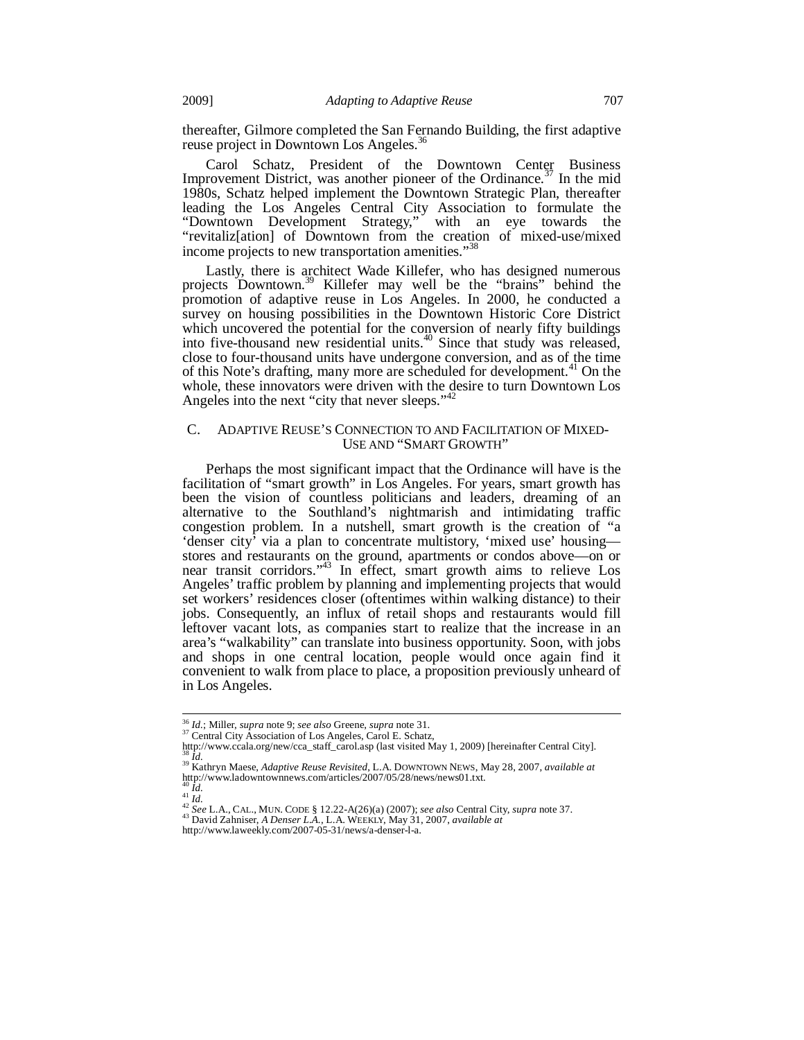thereafter, Gilmore completed the San Fernando Building, the first adaptive reuse project in Downtown Los Angeles.<sup>36</sup>

Carol Schatz, President of the Downtown Center Business Improvement District, was another pioneer of the Ordinance.<sup>37</sup> In the mid 1980s, Schatz helped implement the Downtown Strategic Plan, thereafter leading the Los Angeles Central City Association to formulate the "Downtown Development Strategy," with an eye towards the "revitaliz[ation] of Downtown from the creation of mixed-use/mixed income projects to new transportation amenities."<sup>38</sup>

Lastly, there is architect Wade Killefer, who has designed numerous projects Downtown.<sup>39</sup> Killefer may well be the "brains" behind the promotion of adaptive reuse in Los Angeles. In 2000, he conducted a survey on housing possibilities in the Downtown Historic Core District which uncovered the potential for the conversion of nearly fifty buildings into five-thousand new residential units. $40$  Since that study was released, close to four-thousand units have undergone conversion, and as of the time of this Note's drafting, many more are scheduled for development.<sup>41</sup> On the whole, these innovators were driven with the desire to turn Downtown Los Angeles into the next "city that never sleeps."<sup>4</sup>

## C. ADAPTIVE REUSE'S CONNECTION TO AND FACILITATION OF MIXED-USE AND "SMART GROWTH"

Perhaps the most significant impact that the Ordinance will have is the facilitation of "smart growth" in Los Angeles. For years, smart growth has been the vision of countless politicians and leaders, dreaming of an alternative to the Southland's nightmarish and intimidating traffic congestion problem. In a nutshell, smart growth is the creation of "a 'denser city' via a plan to concentrate multistory, 'mixed use' housing stores and restaurants on the ground, apartments or condos above—on or near transit corridors."43 In effect, smart growth aims to relieve Los Angeles' traffic problem by planning and implementing projects that would set workers' residences closer (oftentimes within walking distance) to their jobs. Consequently, an influx of retail shops and restaurants would fill leftover vacant lots, as companies start to realize that the increase in an area's "walkability" can translate into business opportunity. Soon, with jobs and shops in one central location, people would once again find it convenient to walk from place to place, a proposition previously unheard of in Los Angeles.

<sup>&</sup>lt;sup>36</sup> Id.; Miller, supra note 9; see also Greene, supra note 31.

<sup>&</sup>lt;sup>36</sup> *Id.*; Miller, *supra* note 9; *see also* Greene, *supra* note 31.<br><sup>37</sup> Central City Association of Los Angeles, Carol E. Schatz,<br>http://www.ccala.org/new/cca\_staff\_carol.asp (last visited May 1, 2009) [hereinafter Ce

<sup>38</sup> *Id.* 39 Kathryn Maese, *Adaptive Reuse Revisited*, L.A. DOWNTOWN NEWS, May 28, 2007, *available at*

http://www.ladowntownnews.com/articles/2007/05/28/news/news01.txt.

<sup>&</sup>lt;sup>41</sup>Id.<br><sup>42</sup> See L.A., CAL., MUN. CODE § 12.22-A(26)(a) (2007); see also Central City, supra note 37.

http://www.laweekly.com/2007-05-31/news/a-denser-l-a.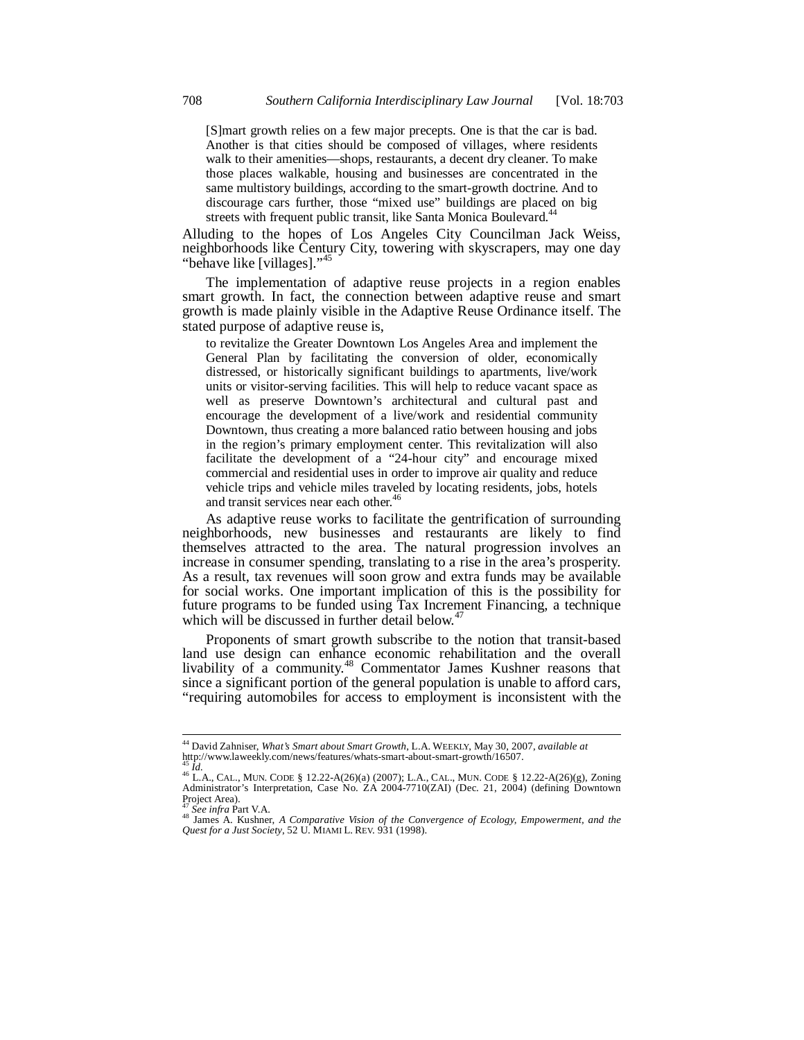[S]mart growth relies on a few major precepts. One is that the car is bad. Another is that cities should be composed of villages, where residents walk to their amenities—shops, restaurants, a decent dry cleaner. To make those places walkable, housing and businesses are concentrated in the same multistory buildings, according to the smart-growth doctrine. And to discourage cars further, those "mixed use" buildings are placed on big streets with frequent public transit, like Santa Monica Boulevard.<sup>44</sup>

Alluding to the hopes of Los Angeles City Councilman Jack Weiss, neighborhoods like Century City, towering with skyscrapers, may one day "behave like [villages]."<sup>45</sup>

The implementation of adaptive reuse projects in a region enables smart growth. In fact, the connection between adaptive reuse and smart growth is made plainly visible in the Adaptive Reuse Ordinance itself. The stated purpose of adaptive reuse is,

to revitalize the Greater Downtown Los Angeles Area and implement the General Plan by facilitating the conversion of older, economically distressed, or historically significant buildings to apartments, live/work units or visitor-serving facilities. This will help to reduce vacant space as well as preserve Downtown's architectural and cultural past and encourage the development of a live/work and residential community Downtown, thus creating a more balanced ratio between housing and jobs in the region's primary employment center. This revitalization will also facilitate the development of a "24-hour city" and encourage mixed commercial and residential uses in order to improve air quality and reduce vehicle trips and vehicle miles traveled by locating residents, jobs, hotels and transit services near each other.<sup>46</sup>

As adaptive reuse works to facilitate the gentrification of surrounding neighborhoods, new businesses and restaurants are likely to find themselves attracted to the area. The natural progression involves an increase in consumer spending, translating to a rise in the area's prosperity. As a result, tax revenues will soon grow and extra funds may be available for social works. One important implication of this is the possibility for future programs to be funded using Tax Increment Financing, a technique which will be discussed in further detail below.<sup>4</sup>

Proponents of smart growth subscribe to the notion that transit-based land use design can enhance economic rehabilitation and the overall livability of a community.<sup>48</sup> Commentator James Kushner reasons that since a significant portion of the general population is unable to afford cars, "requiring automobiles for access to employment is inconsistent with the

<sup>44</sup> David Zahniser, *What's Smart about Smart Growth*, L.A. WEEKLY, May 30, 2007, *available at*  http://www.laweekly.com/news/features/whats-smart-about-smart-growth/16507.

<sup>45</sup> *Id.* 46 L.A., CAL., MUN. CODE § 12.22-A(26)(a) (2007); L.A., CAL., MUN. CODE § 12.22-A(26)(g), Zoning Administrator's Interpretation, Case No. ZA 2004-7710(ZAI) (Dec. 21, 2004) (defining Downtown Project Area).<br><sup>47</sup> See infra Part V.A.

<sup>&</sup>lt;sup>48</sup> James A. Kushner, *A Comparative Vision of the Convergence of Ecology, Empowerment, and the Quest for a Just Society*, 52 U. MIAMI L. REV. 931 (1998).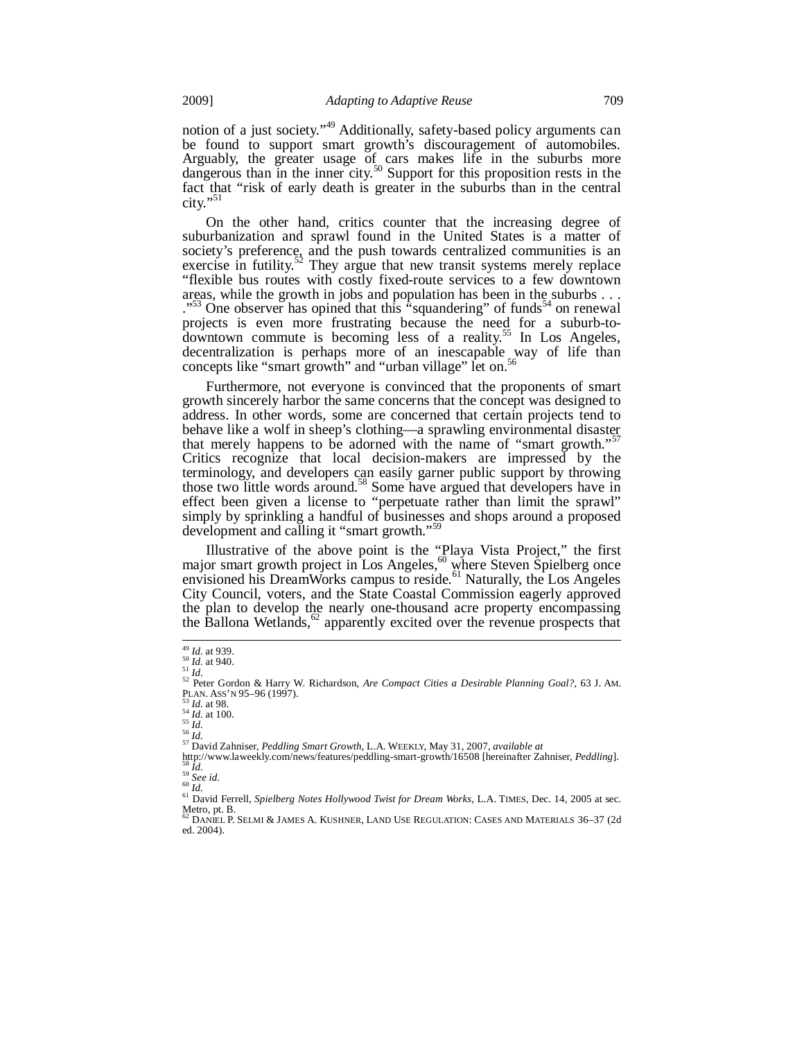notion of a just society."<sup>49</sup> Additionally, safety-based policy arguments can be found to support smart growth's discouragement of automobiles. Arguably, the greater usage of cars makes life in the suburbs more dangerous than in the inner city.<sup>50</sup> Support for this proposition rests in the fact that "risk of early death is greater in the suburbs than in the central city."<sup>51</sup>

On the other hand, critics counter that the increasing degree of suburbanization and sprawl found in the United States is a matter of society's preference, and the push towards centralized communities is an exercise in futility.<sup>52</sup> They argue that new transit systems merely replace "flexible bus routes with costly fixed-route services to a few downtown areas, while the growth in jobs and population has been in the suburbs . . . ."<sup>33</sup> One observer has opined that this "squandering" of funds<sup>34</sup> on renewal projects is even more frustrating because the need for a suburb-todowntown commute is becoming less of a reality.<sup>55</sup> In Los Angeles, decentralization is perhaps more of an inescapable way of life than concepts like "smart growth" and "urban village" let on.<sup>56</sup>

Furthermore, not everyone is convinced that the proponents of smart growth sincerely harbor the same concerns that the concept was designed to address. In other words, some are concerned that certain projects tend to behave like a wolf in sheep's clothing—a sprawling environmental disaster that merely happens to be adorned with the name of "smart growth." Critics recognize that local decision-makers are impressed by the terminology, and developers can easily garner public support by throwing those two little words around.<sup>58</sup> Some have argued that developers have in effect been given a license to "perpetuate rather than limit the sprawl" simply by sprinkling a handful of businesses and shops around a proposed development and calling it "smart growth."<sup>59</sup>

Illustrative of the above point is the "Playa Vista Project," the first major smart growth project in Los Angeles,<sup>60</sup> where Steven Spielberg once envisioned his DreamWorks campus to reside.<sup>61</sup> Naturally, the Los Angeles City Council, voters, and the State Coastal Commission eagerly approved the plan to develop the nearly one-thousand acre property encompassing the Ballona Wetlands, $62$  apparently excited over the revenue prospects that

 $49$  *Id.* at 939.

<sup>&</sup>lt;sup>50 *Id.* at 939.<br><sup>51</sup> *Id.* 52 Peter Gordon & Harry W. Richardson, *Are Compact Cities a Desirable Planning Goal?*, 63 J. AM.<br><sup>52</sup> Peter Gordon & Harry W. Richardson, *Are Compact Cities a Desirable Planning Goal?*, 63 J.</sup>

<sup>&</sup>lt;sup>53</sup> *Id.* at 98.<br>
<sup>54</sup> *Id.*<br>
<sup>55</sup> *Id.*<br>
<sup>57</sup> David Zahniser, *Peddling Smart Growth*, L.A. WEEKLY, May 31, 2007, *available at*<br>
http://www.laweekly.com/news/features/peddling-smart-growth/16508 [hereinafter Zahniser, <sup>58</sup> *Id.*<br><sup>59</sup> *See id.*<br><sup>60</sup> *Id.*<br><sup>61</sup> David Ferrell, *Spielberg Notes Hollywood Twist for Dream Works*, L.A. TIMES, Dec. 14, 2005 at sec.

Metro, pt. B.<br><sup>62</sup> DANIEL P. SELMI & JAMES A. KUSHNER, LAND USE REGULATION: CASES AND MATERIALS 36–37 (2d

ed. 2004).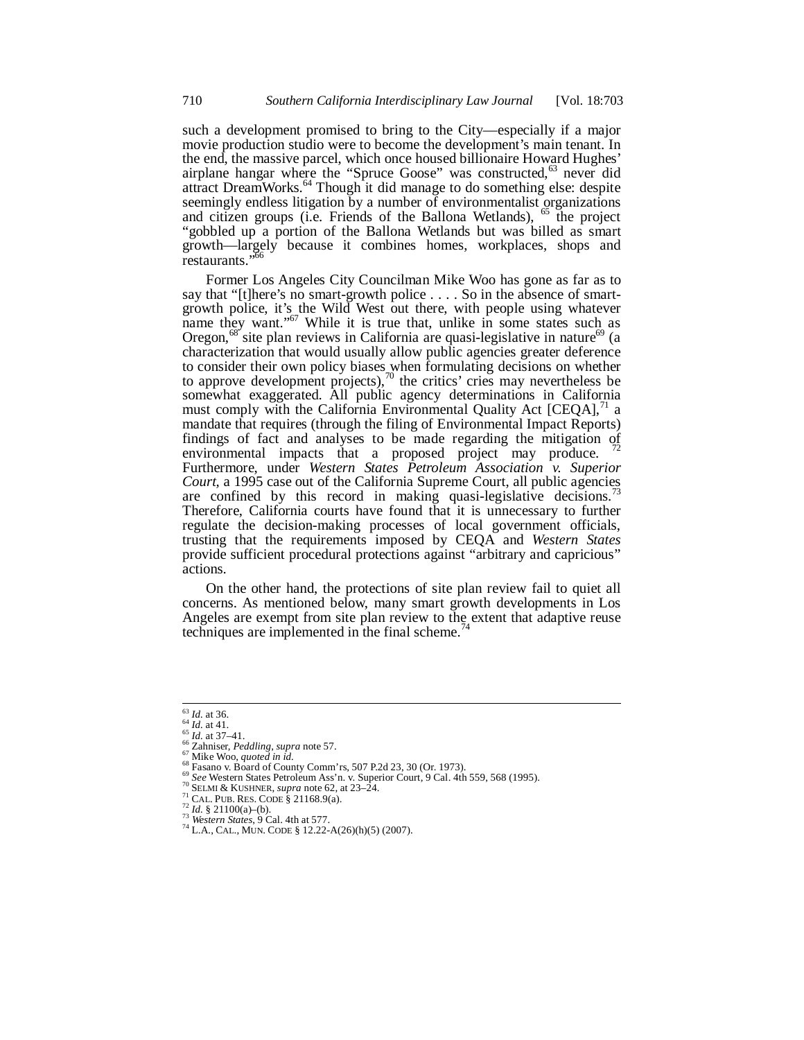such a development promised to bring to the City—especially if a major movie production studio were to become the development's main tenant. In the end, the massive parcel, which once housed billionaire Howard Hughes' airplane hangar where the "Spruce Goose" was constructed,<sup>63</sup> never did attract DreamWorks.<sup>64</sup> Though it did manage to do something else: despite seemingly endless litigation by a number of environmentalist organizations and citizen groups (i.e. Friends of the Ballona Wetlands), <sup>65</sup> the project "gobbled up a portion of the Ballona Wetlands but was billed as smart growth—largely because it combines homes, workplaces, shops and restaurants."<sup>56</sup>

Former Los Angeles City Councilman Mike Woo has gone as far as to say that "[t]here's no smart-growth police . . . . So in the absence of smartgrowth police, it's the Wild West out there, with people using whatever name they want."<sup>67</sup> While it is true that, unlike in some states such as Oregon,<sup>68</sup> site plan reviews in California are quasi-legislative in nature<sup>69</sup> (a characterization that would usually allow public agencies greater deference to consider their own policy biases when formulating decisions on whether to approve development projects),<sup>70</sup> the critics' cries may nevertheless be somewhat exaggerated. All public agency determinations in California must comply with the California Environmental Quality Act  $[CEQA]$ ,<sup> $\text{1}$ </sup> a mandate that requires (through the filing of Environmental Impact Reports) findings of fact and analyses to be made regarding the mitigation of  $\frac{72}{2}$ environmental impacts that a proposed project may produce. Furthermore, under *Western States Petroleum Association v. Superior Court,* a 1995 case out of the California Supreme Court, all public agencies are confined by this record in making quasi-legislative decisions.<sup>4</sup> Therefore, California courts have found that it is unnecessary to further regulate the decision-making processes of local government officials, trusting that the requirements imposed by CEQA and *Western States* provide sufficient procedural protections against "arbitrary and capricious" actions.

On the other hand, the protections of site plan review fail to quiet all concerns. As mentioned below, many smart growth developments in Los Angeles are exempt from site plan review to the extent that adaptive reuse techniques are implemented in the final scheme. $\frac{7}{4}$ 

 $63$  *Id.* at 36.

<sup>&</sup>lt;sup>64</sup> *Id.* at 41.<br>
<sup>65</sup> *Id.* at 41.<br>
<sup>65</sup> *Id.* at 41.<br>
<sup>66</sup> Zahniser, *Peddling*, *supra* note 57.<br>
<sup>67</sup> Mike Woo, *quoted in id.*<br>
<sup>68</sup> Fasano v. Board of County Comm'rs, 507 P.2d 23, 30 (Or. 1973).<br>
<sup>69</sup> See Western S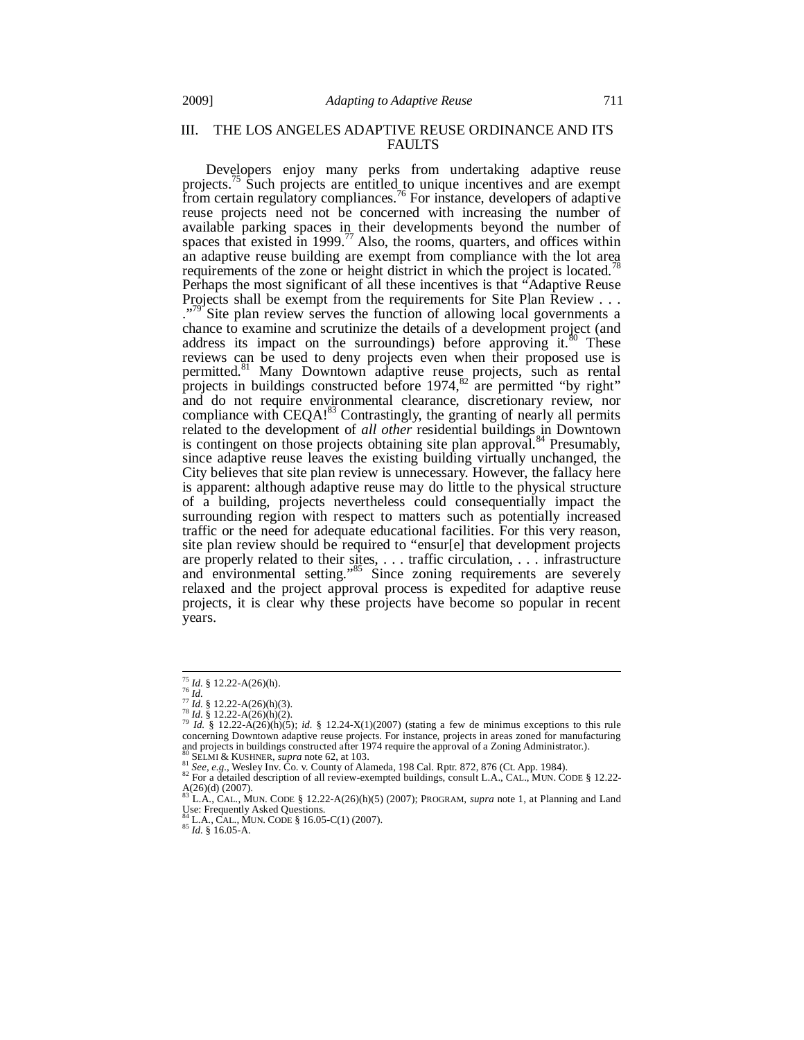# III. THE LOS ANGELES ADAPTIVE REUSE ORDINANCE AND ITS FAULTS

Developers enjoy many perks from undertaking adaptive reuse projects.<sup>75</sup> Such projects are entitled to unique incentives and are exempt from certain regulatory compliances.<sup>76</sup> For instance, developers of adaptive reuse projects need not be concerned with increasing the number of available parking spaces in their developments beyond the number of spaces that existed in 1999.<sup>77</sup> Also, the rooms, quarters, and offices within an adaptive reuse building are exempt from compliance with the lot area requirements of the zone or height district in which the project is located.<sup>7</sup> Perhaps the most significant of all these incentives is that "Adaptive Reuse Projects shall be exempt from the requirements for Site Plan Review . . . Site plan review serves the function of allowing local governments a chance to examine and scrutinize the details of a development project (and address its impact on the surroundings) before approving it. $\frac{80}{10}$  These reviews can be used to deny projects even when their proposed use is permitted.<sup>81</sup> Many Downtown adaptive reuse projects, such as rental projects in buildings constructed before  $1974$ ,<sup>82</sup> are permitted "by right" and do not require environmental clearance, discretionary review, nor compliance with  $CEQA!^{83}$  Contrastingly, the granting of nearly all permits related to the development of *all other* residential buildings in Downtown is contingent on those projects obtaining site plan approval.<sup>84</sup> Presumably, since adaptive reuse leaves the existing building virtually unchanged, the City believes that site plan review is unnecessary. However, the fallacy here is apparent: although adaptive reuse may do little to the physical structure of a building, projects nevertheless could consequentially impact the surrounding region with respect to matters such as potentially increased traffic or the need for adequate educational facilities. For this very reason, site plan review should be required to "ensur[e] that development projects are properly related to their sites, . . . traffic circulation, . . . infrastructure and environmental setting."<sup>85</sup> Since zoning requirements are severely relaxed and the project approval process is expedited for adaptive reuse projects, it is clear why these projects have become so popular in recent years.

<sup>&</sup>lt;sup>75</sup> *Id.* § 12.22-A(26)(h).

 $\frac{7}{76}$  *Id.* § 12.22-A(26)(h).<br>  $\frac{77}{16}$  *Id.* § 12.22-A(26)(h)(3).<br>  $\frac{77}{16}$  *Id.* § 12.22-A(26)(h)(2).<br>  $\frac{78}{16}$  *Id.* § 12.22-A(26)(h)(2).<br>  $\frac{78}{16}$  *Id.* § 12.22-A(26)(h)(5); *id.* § 12.24-X(1)(2007) ( concerning Downtown adaptive reuse projects. For instance, projects in areas zoned for manufacturing and projects in buildings constructed after 1974 require the approval of a Zoning Administrator.).

<sup>&</sup>lt;sup>80</sup> SELMI & KUSHNER, *supra* note 62, at 103.<br><sup>81</sup> See, e.g., Wesley Inv. Co. v. County of Alameda, 198 Cal. Rptr. 872, 876 (Ct. App. 1984).<br><sup>82</sup> For a detailed description of all review-exempted buildings, consult L.A.,  $A(26)(d)$  (2007).

L.A., CAL., MUN. CODE § 12.22-A(26)(h)(5) (2007); PROGRAM, *supra* note 1, at Planning and Land Use: Frequently Asked Questions.

<sup>84</sup> L.A., CAL., MUN. CODE § 16.05-C(1) (2007). 85 *Id.* § 16.05-A.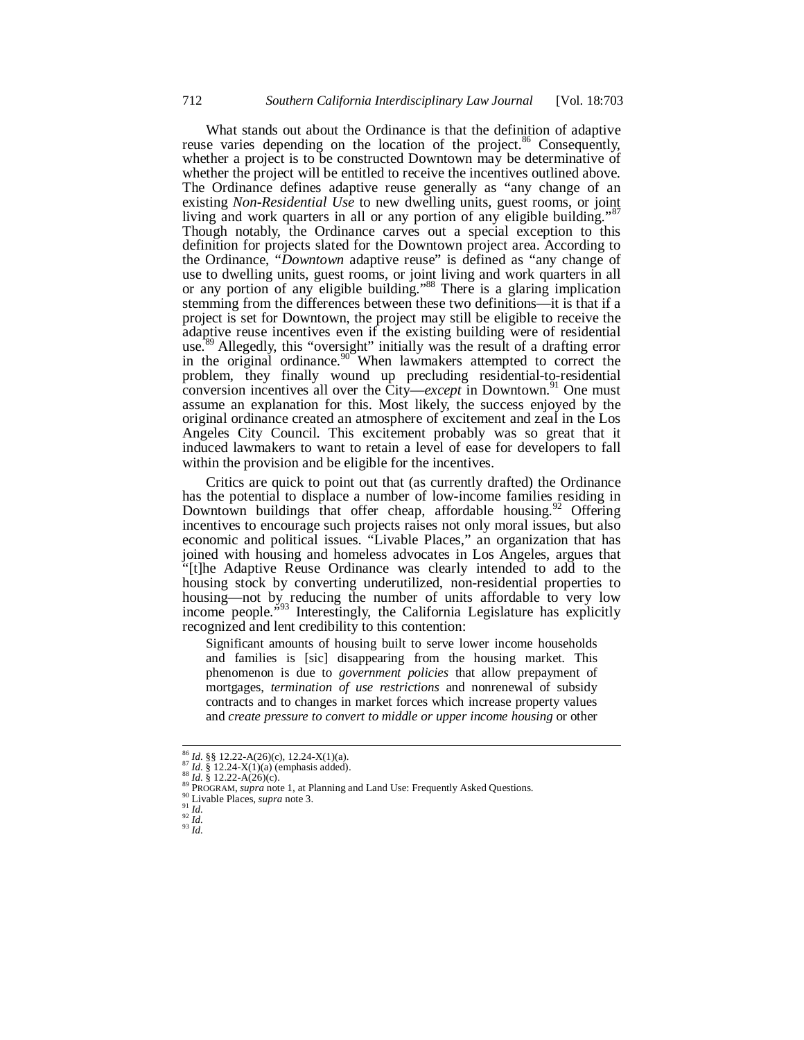What stands out about the Ordinance is that the definition of adaptive reuse varies depending on the location of the project.<sup>86</sup> Consequently, whether a project is to be constructed Downtown may be determinative of whether the project will be entitled to receive the incentives outlined above. The Ordinance defines adaptive reuse generally as "any change of an existing *Non-Residential Use* to new dwelling units, guest rooms, or joint living and work quarters in all or any portion of any eligible building."<sup>87</sup> Though notably, the Ordinance carves out a special exception to this definition for projects slated for the Downtown project area. According to the Ordinance, "*Downtown* adaptive reuse" is defined as "any change of use to dwelling units, guest rooms, or joint living and work quarters in all or any portion of any eligible building."88 There is a glaring implication stemming from the differences between these two definitions—it is that if a project is set for Downtown, the project may still be eligible to receive the adaptive reuse incentives even if the existing building were of residential use.<sup>89</sup> Allegedly, this "oversight" initially was the result of a drafting error in the original ordinance.<sup>90</sup> When lawmakers attempted to correct the problem, they finally wound up precluding residential-to-residential conversion incentives all over the  $\tilde{C}$ ity—*except* in Downtown.<sup>91</sup> One must assume an explanation for this. Most likely, the success enjoyed by the original ordinance created an atmosphere of excitement and zeal in the Los Angeles City Council. This excitement probably was so great that it induced lawmakers to want to retain a level of ease for developers to fall within the provision and be eligible for the incentives.

Critics are quick to point out that (as currently drafted) the Ordinance has the potential to displace a number of low-income families residing in Downtown buildings that offer cheap, affordable housing.<sup>92</sup> Offering incentives to encourage such projects raises not only moral issues, but also economic and political issues. "Livable Places," an organization that has joined with housing and homeless advocates in Los Angeles, argues that "[t]he Adaptive Reuse Ordinance was clearly intended to add to the housing stock by converting underutilized, non-residential properties to housing—not by reducing the number of units affordable to very low income people.<sup>393</sup> Interestingly, the California Legislature has explicitly recognized and lent credibility to this contention:

Significant amounts of housing built to serve lower income households and families is [sic] disappearing from the housing market. This phenomenon is due to *government policies* that allow prepayment of mortgages, *termination of use restrictions* and nonrenewal of subsidy contracts and to changes in market forces which increase property values and *create pressure to convert to middle or upper income housing* or other

<sup>&</sup>lt;sup>86</sup> *Id.* §§ 12.22-A(26)(c), 12.24-X(1)(a).

<sup>&</sup>lt;sup>87</sup> *Id.* § 12.22-A(26)(c), 12.24-A(1)(a)<br>
<sup>87</sup> *Id.* § 12.24-X(1)(a) (emphasis added).<br>
<sup>88</sup> *Id.* § 12.22-A(26)(c).<br>
<sup>89</sup> PROGRAM, *supra* note 1, at Planning and Land Use: Frequently Asked Questions.<br>
<sup>90</sup> Livable Pla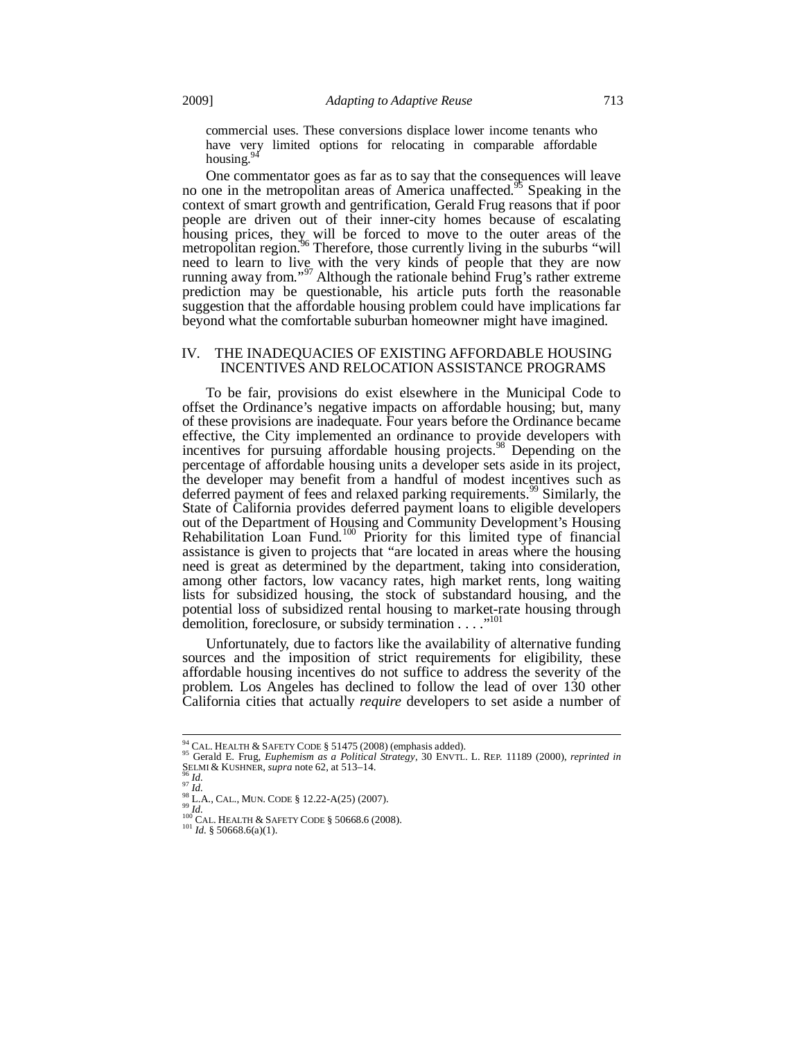commercial uses. These conversions displace lower income tenants who have very limited options for relocating in comparable affordable housing.<sup>94</sup>

One commentator goes as far as to say that the consequences will leave no one in the metropolitan areas of America unaffected.<sup>95</sup> Speaking in the context of smart growth and gentrification, Gerald Frug reasons that if poor people are driven out of their inner-city homes because of escalating housing prices, they will be forced to move to the outer areas of the metropolitan region.<sup>96</sup> Therefore, those currently living in the suburbs "will need to learn to live with the very kinds of people that they are now running away from."<sup>97</sup> Although the rationale behind Frug's rather extreme prediction may be questionable, his article puts forth the reasonable suggestion that the affordable housing problem could have implications far beyond what the comfortable suburban homeowner might have imagined.

## IV. THE INADEQUACIES OF EXISTING AFFORDABLE HOUSING INCENTIVES AND RELOCATION ASSISTANCE PROGRAMS

To be fair, provisions do exist elsewhere in the Municipal Code to offset the Ordinance's negative impacts on affordable housing; but, many of these provisions are inadequate. Four years before the Ordinance became effective, the City implemented an ordinance to provide developers with incentives for pursuing affordable housing projects.<sup>98</sup> Depending on the percentage of affordable housing units a developer sets aside in its project, the developer may benefit from a handful of modest incentives such as deferred payment of fees and relaxed parking requirements.<sup>99</sup> Similarly, the State of California provides deferred payment loans to eligible developers out of the Department of Housing and Community Development's Housing Rehabilitation Loan Fund.<sup>100</sup> Priority for this limited type of financial assistance is given to projects that "are located in areas where the housing need is great as determined by the department, taking into consideration, among other factors, low vacancy rates, high market rents, long waiting lists for subsidized housing, the stock of substandard housing, and the potential loss of subsidized rental housing to market-rate housing through demolition, foreclosure, or subsidy termination  $\dots$ 

Unfortunately, due to factors like the availability of alternative funding sources and the imposition of strict requirements for eligibility, these affordable housing incentives do not suffice to address the severity of the problem. Los Angeles has declined to follow the lead of over 130 other California cities that actually *require* developers to set aside a number of

<sup>&</sup>lt;sup>94</sup> CAL. HEALTH & SAFETY CODE § 51475 (2008) (emphasis added).

<sup>95</sup> Gerald E. Frug, *Euphemism as a Political Strategy*, 30 ENVTL. L. REP. 11189 (2000), *reprinted in*<br>SELMI & KUSHNER, *supra* note 62, at 513–14.

<sup>96</sup> *Id.*<br>
97 *Id.*<br>
98 L.A., CAL., MUN. CODE § 12.22-A(25) (2007).<br>
99 *Id.*<br>
100 CAL. HEALTH & SAFETY CODE § 50668.6 (2008).<br>
<sup>101</sup> *Id.* § 50668.6(a)(1).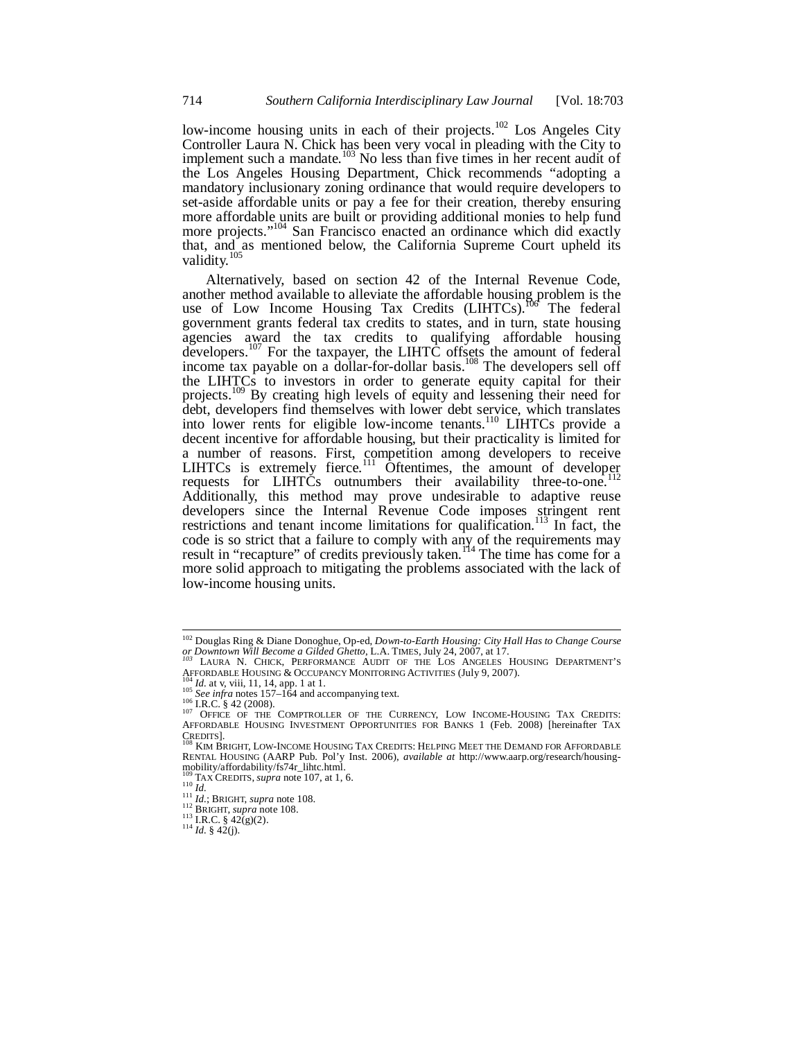low-income housing units in each of their projects.<sup>102</sup> Los Angeles City Controller Laura N. Chick has been very vocal in pleading with the City to implement such a mandate.<sup>103</sup> No less than five times in her recent audit of the Los Angeles Housing Department, Chick recommends "adopting a mandatory inclusionary zoning ordinance that would require developers to set-aside affordable units or pay a fee for their creation, thereby ensuring more affordable units are built or providing additional monies to help fund more projects."<sup>104</sup> San Francisco enacted an ordinance which did exactly that, and as mentioned below, the California Supreme Court upheld its validity.<sup>105</sup>

Alternatively, based on section 42 of the Internal Revenue Code, another method available to alleviate the affordable housing problem is the use of Low Income Housing Tax Credits  $(LIHTCs).^{T06}$  The federal government grants federal tax credits to states, and in turn, state housing agencies award the tax credits to qualifying affordable housing developers.<sup>107</sup> For the taxpayer, the LIHTC offsets the amount of federal income tax payable on a dollar-for-dollar basis.<sup>108</sup> The developers sell off the LIHTCs to investors in order to generate equity capital for their projects.<sup>109</sup> By creating high levels of equity and lessening their need for debt, developers find themselves with lower debt service, which translates into lower rents for eligible low-income tenants.<sup>110</sup> LIHTCs provide a decent incentive for affordable housing, but their practicality is limited for a number of reasons. First, competition among developers to receive LIHTCs is extremely fierce.<sup>111</sup> Oftentimes, the amount of developer requests for LIHTCs outnumbers their availability three-to-one.<sup>1</sup> Additionally, this method may prove undesirable to adaptive reuse developers since the Internal Revenue Code imposes stringent rent restrictions and tenant income limitations for qualification.<sup>113</sup> In fact, the code is so strict that a failure to comply with any of the requirements may result in "recapture" of credits previously taken.<sup>114</sup> The time has come for a more solid approach to mitigating the problems associated with the lack of low-income housing units.

<sup>102</sup> Douglas Ring & Diane Donoghue, Op-ed, *Down-to-Earth Housing: City Hall Has to Change Course or Downtown Will Become a Gilded Ghetto*, L.A. TIMES, July 24, 2007, at 17.<br><sup>103</sup> LAURA N. CHICK, PERFORMANCE AUDIT OF THE LOS ANGELES HOUSING DEPARTMENT'S AFFORDABLE HOUSING & OCCUPANCY MONITORING ACTIVITIES (July 9, 200

<sup>104</sup> Id. at v, viii, 11, 14, app. 1 at 1.<br>
<sup>105</sup> Id. at v, viii, 11, 14, app. 1 at 1.<br>
<sup>105</sup> See infra notes 157–164 and accompanying text.<br>
<sup>106</sup> I.R.C. § 42 (2008).<br>
<sup>107</sup> OFFICE OF THE COMPTROLLER OF THE CURRENCY, LOW IN

KIM BRIGHT, LOW-INCOME HOUSING TAX CREDITS: HELPING MEET THE DEMAND FOR AFFORDABLE RENTAL HOUSING (AARP Pub. Pol'y Inst. 2006), *available at* http://www.aarp.org/research/housingmobility/affordability/fs74r\_lihtc.html.<br><sup>109</sup> TAX CREDITS, *supra* note 107, at 1, 6.<br><sup>110</sup> *Id.* 

<sup>111</sup> *Id.*; BRIGHT, *supra* note 108.<br>
<sup>112</sup> BRIGHT, *supra* note 108.<br>
<sup>113</sup> I.R.C. § 42(g)(2).<br>
<sup>114</sup> *Id.* § 42(j).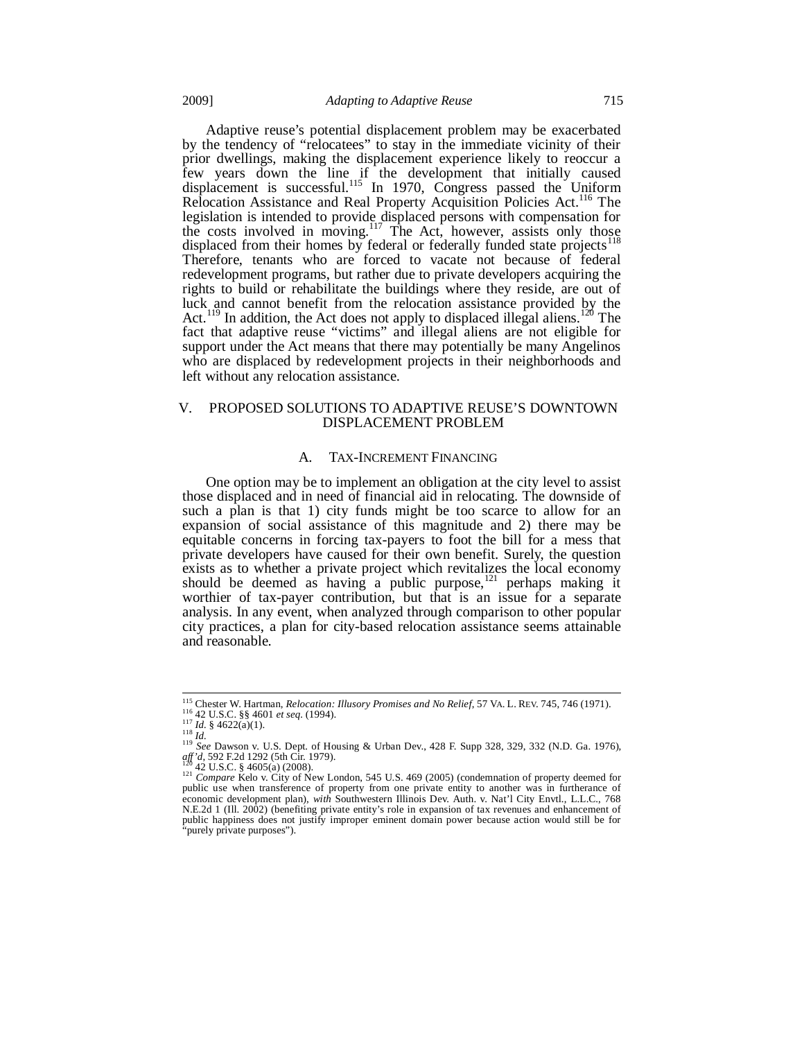Adaptive reuse's potential displacement problem may be exacerbated by the tendency of "relocatees" to stay in the immediate vicinity of their prior dwellings, making the displacement experience likely to reoccur a few years down the line if the development that initially caused displacement is successful.<sup>115</sup> In 1970, Congress passed the Uniform Relocation Assistance and Real Property Acquisition Policies Act.<sup>116</sup> The legislation is intended to provide displaced persons with compensation for the costs involved in moving.<sup>117</sup> The Act, however, assists only those displaced from their homes by federal or federally funded state projects<sup>1</sup> Therefore, tenants who are forced to vacate not because of federal redevelopment programs, but rather due to private developers acquiring the rights to build or rehabilitate the buildings where they reside, are out of luck and cannot benefit from the relocation assistance provided by the Act.<sup>119</sup> In addition, the Act does not apply to displaced illegal aliens.<sup>120</sup> The fact that adaptive reuse "victims" and illegal aliens are not eligible for support under the Act means that there may potentially be many Angelinos who are displaced by redevelopment projects in their neighborhoods and left without any relocation assistance.

## V. PROPOSED SOLUTIONS TO ADAPTIVE REUSE'S DOWNTOWN DISPLACEMENT PROBLEM

#### A. TAX-INCREMENT FINANCING

One option may be to implement an obligation at the city level to assist those displaced and in need of financial aid in relocating. The downside of such a plan is that 1) city funds might be too scarce to allow for an expansion of social assistance of this magnitude and 2) there may be equitable concerns in forcing tax-payers to foot the bill for a mess that private developers have caused for their own benefit. Surely, the question exists as to whether a private project which revitalizes the local economy should be deemed as having a public purpose, $121$  perhaps making it worthier of tax-payer contribution, but that is an issue for a separate analysis. In any event, when analyzed through comparison to other popular city practices, a plan for city-based relocation assistance seems attainable and reasonable.

<sup>&</sup>lt;sup>115</sup> Chester W. Hartman, *Relocation: Illusory Promises and No Relief*, 57 VA. L. REV. 745, 746 (1971).

the 42 U.S.C. §§ 4601 *et seq.* (1994).<br>
<sup>117</sup> Id. § 4622(a)(1).<br>
<sup>118</sup> See Dawson v. U.S. Dept. of Housing & Urban Dev., 428 F. Supp 328, 329, 332 (N.D. Ga. 1976),<br>
<sup>119</sup> See Dawson v. U.S. Dept. of Housing & Urban Dev.,

<sup>&</sup>lt;sup>120</sup> 42 U.S.C. § 4605(a) (2008). <sup>120</sup> *Compare* Kelo v. City of New London, 545 U.S. 469 (2005) (condemnation of property deemed for <sup>121</sup> *Compare* Kelo v. City of New London, 545 U.S. 469 (2005) (condemnation of proper public use when transference of property from one private entity to another was in furtherance of economic development plan), *with* Southwestern Illinois Dev. Auth. v. Nat'l City Envtl., L.L.C., 768 N.E.2d 1 (Ill. 2002) (benefiting private entity's role in expansion of tax revenues and enhancement of public happiness does not justify improper eminent domain power because action would still be for 'purely private purposes").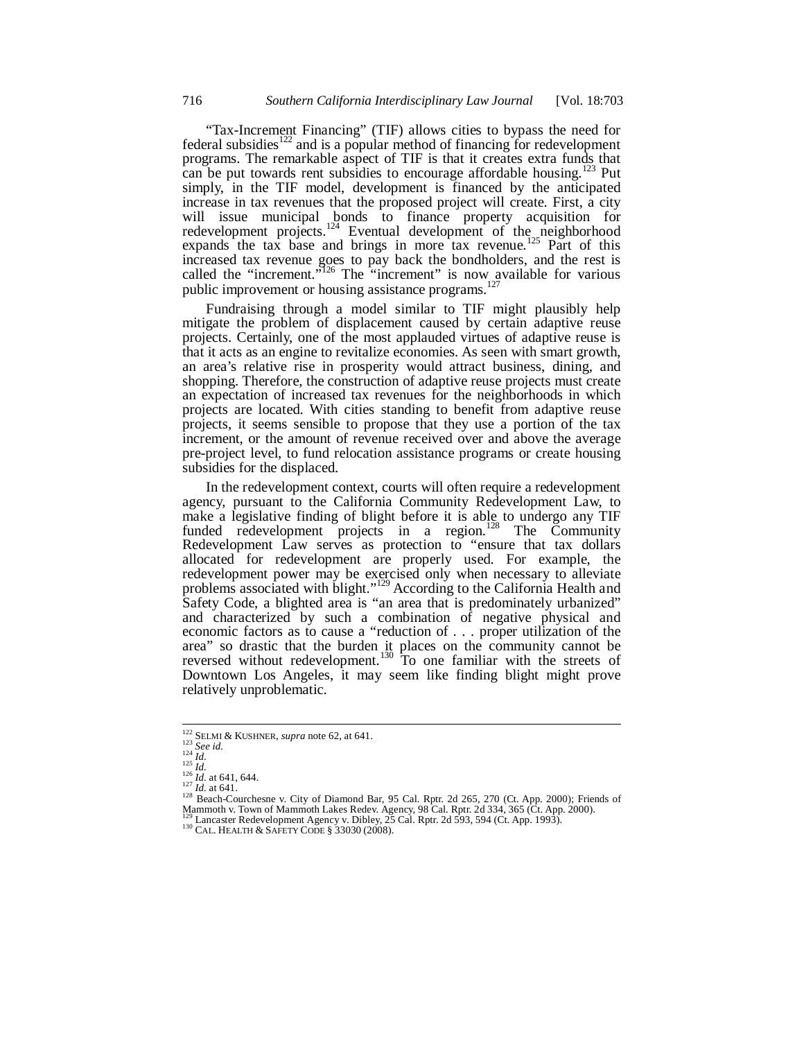"Tax-Increment Financing" (TIF) allows cities to bypass the need for federal subsidies $122$  and is a popular method of financing for redevelopment programs. The remarkable aspect of TIF is that it creates extra funds that can be put towards rent subsidies to encourage affordable housing.<sup>123</sup> Put simply, in the TIF model, development is financed by the anticipated increase in tax revenues that the proposed project will create. First, a city will issue municipal bonds to finance property acquisition for redevelopment projects.<sup>124</sup> Eventual development of the neighborhood expands the tax base and brings in more tax revenue.<sup>125</sup> Part of this increased tax revenue goes to pay back the bondholders, and the rest is called the "increment."<sup>126</sup> The "increment" is now available for various public improvement or housing assistance programs.<sup>127</sup>

Fundraising through a model similar to TIF might plausibly help mitigate the problem of displacement caused by certain adaptive reuse projects. Certainly, one of the most applauded virtues of adaptive reuse is that it acts as an engine to revitalize economies. As seen with smart growth, an area's relative rise in prosperity would attract business, dining, and shopping. Therefore, the construction of adaptive reuse projects must create an expectation of increased tax revenues for the neighborhoods in which projects are located. With cities standing to benefit from adaptive reuse projects, it seems sensible to propose that they use a portion of the tax increment, or the amount of revenue received over and above the average pre-project level, to fund relocation assistance programs or create housing subsidies for the displaced.

In the redevelopment context, courts will often require a redevelopment agency, pursuant to the California Community Redevelopment Law, to make a legislative finding of blight before it is able to undergo any TIF funded redevelopment projects in a region.<sup>128</sup> The Community Redevelopment Law serves as protection to "ensure that tax dollars allocated for redevelopment are properly used. For example, the redevelopment power may be exercised only when necessary to alleviate problems associated with blight."<sup>129</sup> According to the California Health and Safety Code, a blighted area is "an area that is predominately urbanized" and characterized by such a combination of negative physical and economic factors as to cause a "reduction of . . . proper utilization of the area" so drastic that the burden it places on the community cannot be reversed without redevelopment.<sup>130</sup> To one familiar with the streets of Downtown Los Angeles, it may seem like finding blight might prove relatively unproblematic.

<sup>&</sup>lt;sup>122</sup> SELMI & KUSHNER, *supra* note 62, at 641.

<sup>&</sup>lt;sup>122</sup> SELMI & KUSHNER, *supra* note 62, at 641.<br>
<sup>123</sup> See id.<br>
<sup>124</sup> *Id.*<br>
<sup>124</sup> *Id.*<br>
<sup>126</sup> *Id.* at 641, 644.<br>
<sup>126</sup> *Id.* at 641.<br>
<sup>128</sup> Beach-Courchesne v. City of Diamond Bar, 95 Cal. Rptr. 2d 265, 270 (Ct. App. 2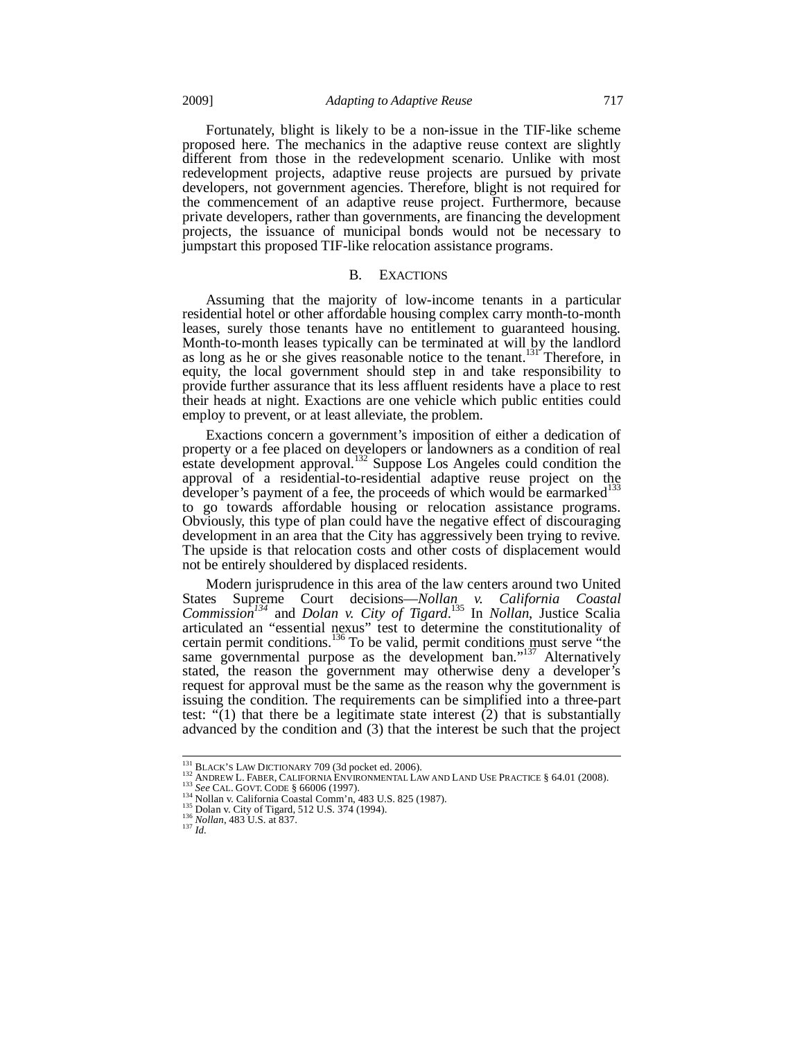Fortunately, blight is likely to be a non-issue in the TIF-like scheme proposed here. The mechanics in the adaptive reuse context are slightly different from those in the redevelopment scenario. Unlike with most redevelopment projects, adaptive reuse projects are pursued by private developers, not government agencies. Therefore, blight is not required for the commencement of an adaptive reuse project. Furthermore, because private developers, rather than governments, are financing the development projects, the issuance of municipal bonds would not be necessary to jumpstart this proposed TIF-like relocation assistance programs.

## B. EXACTIONS

Assuming that the majority of low-income tenants in a particular residential hotel or other affordable housing complex carry month-to-month leases, surely those tenants have no entitlement to guaranteed housing. Month-to-month leases typically can be terminated at will by the landlord as long as he or she gives reasonable notice to the tenant.<sup>131</sup> Therefore, in equity, the local government should step in and take responsibility to provide further assurance that its less affluent residents have a place to rest their heads at night. Exactions are one vehicle which public entities could employ to prevent, or at least alleviate, the problem.

Exactions concern a government's imposition of either a dedication of property or a fee placed on developers or landowners as a condition of real estate development approval.<sup>132</sup> Suppose Los Angeles could condition the approval of a residential-to-residential adaptive reuse project on the developer's payment of a fee, the proceeds of which would be earmarked<sup>133</sup> to go towards affordable housing or relocation assistance programs. Obviously, this type of plan could have the negative effect of discouraging development in an area that the City has aggressively been trying to revive. The upside is that relocation costs and other costs of displacement would not be entirely shouldered by displaced residents.

Modern jurisprudence in this area of the law centers around two United States Supreme Court decisions—*Nollan v. California Coastal Commission134* and *Dolan v. City of Tigard*. 135 In *Nollan*, Justice Scalia articulated an "essential nexus" test to determine the constitutionality of certain permit conditions.<sup>136</sup> To be valid, permit conditions must serve "the same governmental purpose as the development ban."<sup>137</sup> Alternatively stated, the reason the government may otherwise deny a developer's request for approval must be the same as the reason why the government is issuing the condition. The requirements can be simplified into a three-part test:  $\cdot \cdot (1)$  that there be a legitimate state interest  $(2)$  that is substantially advanced by the condition and (3) that the interest be such that the project

<sup>&</sup>lt;sup>131</sup> BLACK'S LAW DICTIONARY 709 (3d pocket ed. 2006).<br><sup>132</sup> ANDREW L. FABER, CALIFORNIA ENVIRONMENTAL LAW AND LAND USE PRACTICE § 64.01 (2008).<br><sup>133</sup> *See* CAL. GOVT. CODE § 66006 (1997).<br><sup>134</sup> Nollan v. California Coast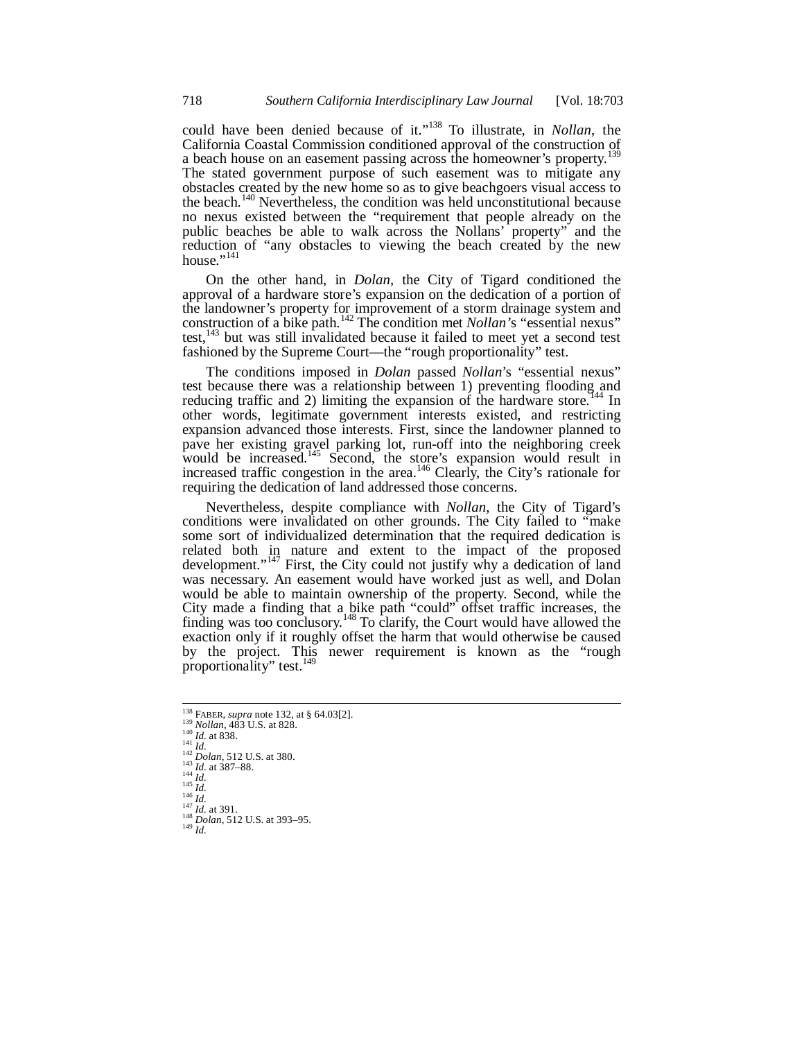could have been denied because of it."138 To illustrate, in *Nollan*, the California Coastal Commission conditioned approval of the construction of  $\frac{139}{139}$ a beach house on an easement passing across the homeowner's property.<sup>1</sup> The stated government purpose of such easement was to mitigate any obstacles created by the new home so as to give beachgoers visual access to the beach.<sup>140</sup> Nevertheless, the condition was held unconstitutional because no nexus existed between the "requirement that people already on the public beaches be able to walk across the Nollans' property" and the reduction of "any obstacles to viewing the beach created by the new house."<sup>141</sup>

On the other hand, in *Dolan,* the City of Tigard conditioned the approval of a hardware store's expansion on the dedication of a portion of the landowner's property for improvement of a storm drainage system and construction of a bike path.142 The condition met *Nollan'*s "essential nexus" test,  $143$  but was still invalidated because it failed to meet yet a second test fashioned by the Supreme Court—the "rough proportionality" test.

The conditions imposed in *Dolan* passed *Nollan*'s "essential nexus" test because there was a relationship between 1) preventing flooding and reducing traffic and 2) limiting the expansion of the hardware store.<sup>144</sup> In other words, legitimate government interests existed, and restricting expansion advanced those interests. First, since the landowner planned to pave her existing gravel parking lot, run-off into the neighboring creek would be increased.<sup>145</sup> Second, the store's expansion would result in increased traffic congestion in the area.<sup>146</sup> Clearly, the City's rationale for requiring the dedication of land addressed those concerns.

Nevertheless, despite compliance with *Nollan*, the City of Tigard's conditions were invalidated on other grounds. The City failed to "make some sort of individualized determination that the required dedication is related both in nature and extent to the impact of the proposed development."<sup>147</sup> First, the City could not justify why a dedication of land was necessary. An easement would have worked just as well, and Dolan would be able to maintain ownership of the property. Second, while the City made a finding that a bike path "could" offset traffic increases, the finding was too conclusory.<sup>148</sup> To clarify, the Court would have allowed the exaction only if it roughly offset the harm that would otherwise be caused by the project. This newer requirement is known as the "rough proportionality" test.<sup>149</sup>

<sup>&</sup>lt;sup>138</sup> FABER, *supra* note 132, at § 64.03[2]. <sup>159</sup> FABER, *supra* note 152, at 8<br>
<sup>139</sup> *Nollan*, 483 U.S. at 828.<br>
<sup>140</sup> *Id.* at 838.<br>
<sup>141</sup> *Id.*<br>
<sup>142</sup> *Dolan*, 512 U.S. at 380.<br>
<sup>143</sup> *Id.* at 387–88.<br>
<sup>143</sup> *Id.* at 387–88.<br>
<sup>143</sup> *Id.*<br>
<sup>147</sup> *Id.* at 391.<br>
<sup></sup>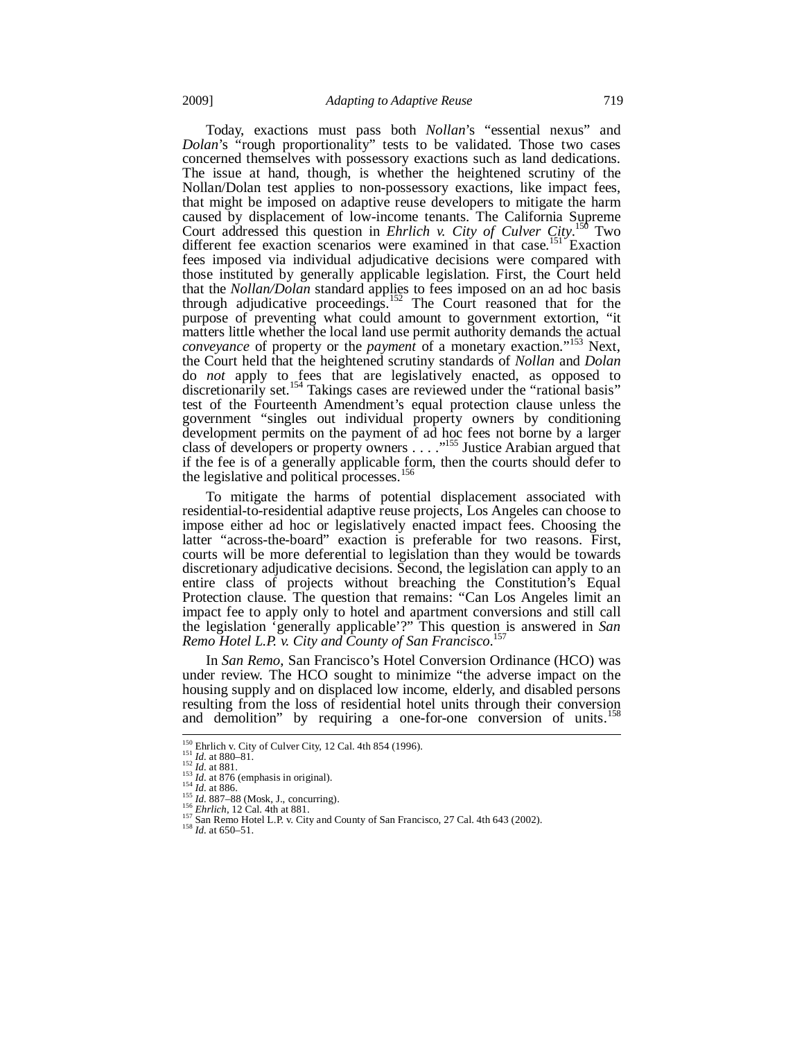Today, exactions must pass both *Nollan*'s "essential nexus" and *Dolan*'s "rough proportionality" tests to be validated. Those two cases concerned themselves with possessory exactions such as land dedications. The issue at hand, though, is whether the heightened scrutiny of the Nollan/Dolan test applies to non-possessory exactions, like impact fees, that might be imposed on adaptive reuse developers to mitigate the harm caused by displacement of low-income tenants. The California Supreme Court addressed this question in *Ehrlich v. City of Culver City*. 150 Two different fee exaction scenarios were examined in that case.<sup>151</sup> Exaction fees imposed via individual adjudicative decisions were compared with those instituted by generally applicable legislation. First, the Court held that the *Nollan/Dolan* standard applies to fees imposed on an ad hoc basis through adjudicative proceedings.<sup>152</sup> The Court reasoned that for the purpose of preventing what could amount to government extortion, "it matters little whether the local land use permit authority demands the actual *conveyance* of property or the *payment* of a monetary exaction."153 Next, the Court held that the heightened scrutiny standards of *Nollan* and *Dolan* do *not* apply to fees that are legislatively enacted, as opposed to discretionarily set.<sup>154</sup> Takings cases are reviewed under the "rational basis" test of the Fourteenth Amendment's equal protection clause unless the government "singles out individual property owners by conditioning development permits on the payment of ad hoc fees not borne by a larger class of developers or property owners . . . . .<sup>1155</sup> Justice Arabian argued that if the fee is of a generally applicable form, then the courts should defer to the legislative and political processes.<sup>156</sup>

To mitigate the harms of potential displacement associated with residential-to-residential adaptive reuse projects, Los Angeles can choose to impose either ad hoc or legislatively enacted impact fees. Choosing the latter "across-the-board" exaction is preferable for two reasons. First, courts will be more deferential to legislation than they would be towards discretionary adjudicative decisions. Second, the legislation can apply to an entire class of projects without breaching the Constitution's Equal Protection clause. The question that remains: "Can Los Angeles limit an impact fee to apply only to hotel and apartment conversions and still call the legislation 'generally applicable'?" This question is answered in *San Remo Hotel L.P. v. City and County of San Francisco*. 157

In *San Remo*, San Francisco's Hotel Conversion Ordinance (HCO) was under review. The HCO sought to minimize "the adverse impact on the housing supply and on displaced low income, elderly, and disabled persons resulting from the loss of residential hotel units through their conversion and demolition" by requiring a one-for-one conversion of units.

<sup>&</sup>lt;sup>150</sup> Ehrlich v. City of Culver City, 12 Cal. 4th 854 (1996).

<sup>151</sup> *Id.* at 880–81.<br>
152 *Id.* at 880–81.<br>
152 *Id.* at 876 (emphasis in original).<br>
153 *Id.* at 886.<br>
155 *Id.* at 876 (emphasis in original).<br>
155 *Id.* 887–88 (Mosk, J., concurring).<br>
156 *Istan Remo Hotel L.P. v. Ci*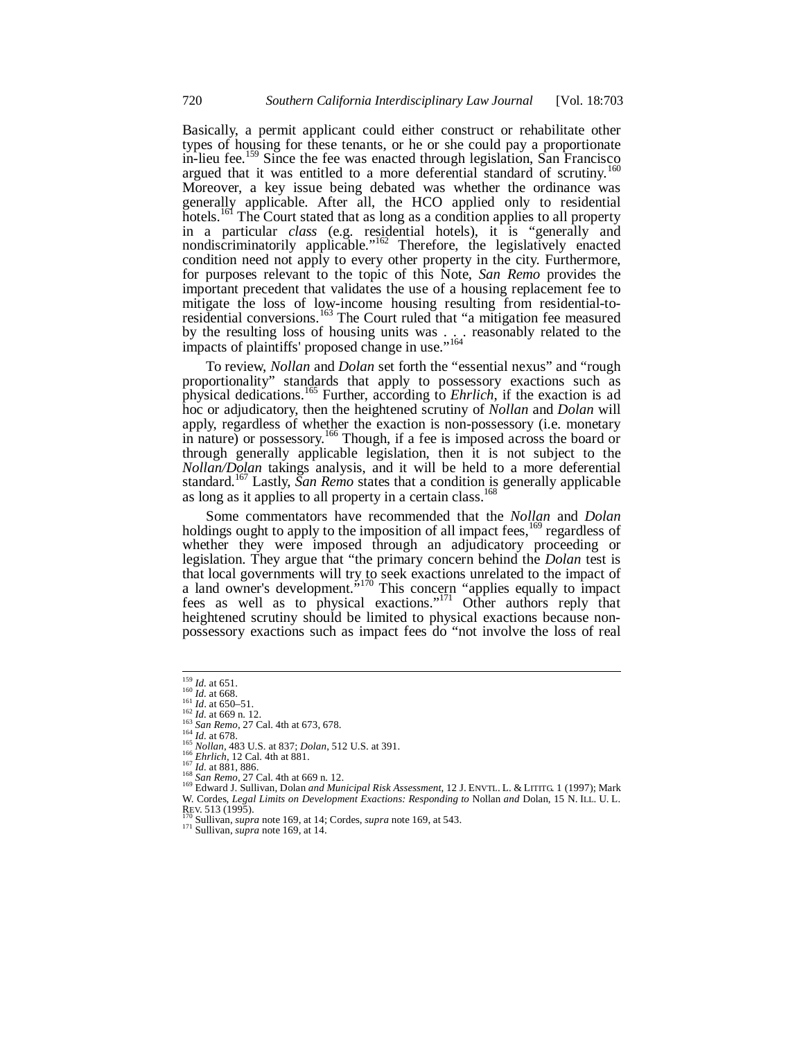Basically, a permit applicant could either construct or rehabilitate other types of housing for these tenants, or he or she could pay a proportionate in-lieu fee.<sup>159</sup> Since the fee was enacted through legislation, San Francisco argued that it was entitled to a more deferential standard of scrutiny.<sup>160</sup> Moreover, a key issue being debated was whether the ordinance was generally applicable. After all, the HCO applied only to residential hotels.<sup>161</sup> The Court stated that as long as a condition applies to all property in a particular *class* (e.g. residential hotels), it is "generally and nondiscriminatorily applicable."<sup>162</sup> Therefore, the legislatively enacted condition need not apply to every other property in the city. Furthermore, for purposes relevant to the topic of this Note, *San Remo* provides the important precedent that validates the use of a housing replacement fee to mitigate the loss of low-income housing resulting from residential-toresidential conversions.<sup>163</sup> The Court ruled that "a mitigation fee measured by the resulting loss of housing units was . . . reasonably related to the impacts of plaintiffs' proposed change in use."<sup>164</sup>

To review, *Nollan* and *Dolan* set forth the "essential nexus" and "rough proportionality" standards that apply to possessory exactions such as physical dedications.165 Further, according to *Ehrlich*, if the exaction is ad hoc or adjudicatory, then the heightened scrutiny of *Nollan* and *Dolan* will apply, regardless of whether the exaction is non-possessory (i.e. monetary in nature) or possessory.<sup>166</sup> Though, if a fee is imposed across the board or through generally applicable legislation, then it is not subject to the *Nollan/Dolan* takings analysis, and it will be held to a more deferential standard.167 Lastly, *San Remo* states that a condition is generally applicable as long as it applies to all property in a certain class.<sup>168</sup>

Some commentators have recommended that the *Nollan* and *Dolan* holdings ought to apply to the imposition of all impact fees, <sup>169</sup> regardless of whether they were imposed through an adjudicatory proceeding or legislation. They argue that "the primary concern behind the *Dolan* test is that local governments will try to seek exactions unrelated to the impact of a land owner's development.<sup> $5170$ </sup> This concern "applies equally to impact fees as well as to physical exactions."<sup>171</sup> Other authors reply that heightened scrutiny should be limited to physical exactions because nonpossessory exactions such as impact fees do "not involve the loss of real

<sup>&</sup>lt;sup>159</sup> *Id.* at 651.<br><sup>161</sup> *Id.* at 668.<br><sup>161</sup> *Id.* at 650–51.<br><sup>163</sup> *Id.* at 669 n. 12.

<sup>&</sup>lt;sup>163</sup> San Remo, 27 Cal. 4th at 673, 678.<br>
<sup>164</sup> *Id.* at 678.<br>
<sup>164</sup> *Id.* at 678.<br>
<sup>164</sup> *Id.* at 678.<br>
<sup>164</sup> *Id.* at 881.<br>
<sup>167</sup> *Id.* at 881.<br>
<sup>167</sup> *Id.* at 881.<br>
<sup>167</sup> *Id.* at 881.<br>
<sup>167</sup> *Id.* at 881.<br>
<sup>167</sup> *Id.* W. Cordes, *Legal Limits on Development Exactions: Responding to* Nollan *and* Dolan, 15 N. ILL. U. L.

REV. 513 (1995).<br><sup>170</sup> Sullivan, *supra* note 169, at 14; Cordes, *supra* note 169, at 543. 171 Sullivan, *supra* note 169, at 14.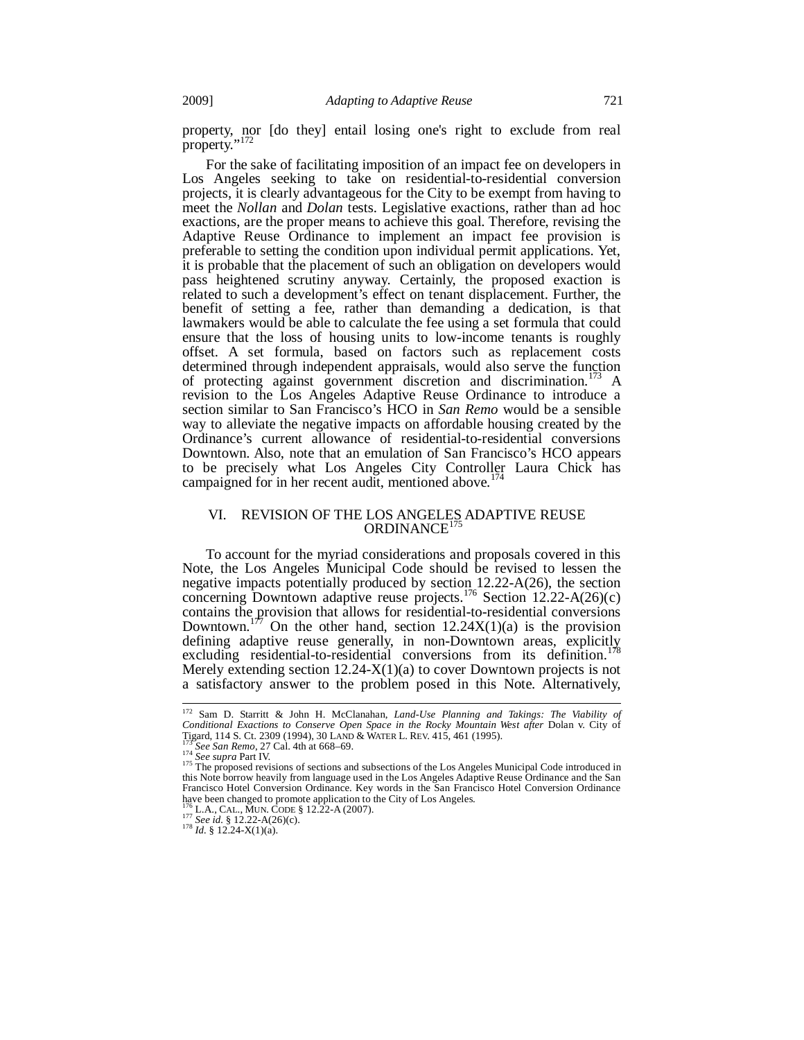property, nor [do they] entail losing one's right to exclude from real property."<sup>172</sup>

For the sake of facilitating imposition of an impact fee on developers in Los Angeles seeking to take on residential-to-residential conversion projects, it is clearly advantageous for the City to be exempt from having to meet the *Nollan* and *Dolan* tests. Legislative exactions, rather than ad hoc exactions, are the proper means to achieve this goal. Therefore, revising the Adaptive Reuse Ordinance to implement an impact fee provision is preferable to setting the condition upon individual permit applications. Yet, it is probable that the placement of such an obligation on developers would pass heightened scrutiny anyway. Certainly, the proposed exaction is related to such a development's effect on tenant displacement. Further, the benefit of setting a fee, rather than demanding a dedication, is that lawmakers would be able to calculate the fee using a set formula that could ensure that the loss of housing units to low-income tenants is roughly offset. A set formula, based on factors such as replacement costs determined through independent appraisals, would also serve the function of protecting against government discretion and discrimination.<sup>173</sup> A revision to the Los Angeles Adaptive Reuse Ordinance to introduce a section similar to San Francisco's HCO in *San Remo* would be a sensible way to alleviate the negative impacts on affordable housing created by the Ordinance's current allowance of residential-to-residential conversions Downtown. Also, note that an emulation of San Francisco's HCO appears to be precisely what Los Angeles City Controller Laura Chick has campaigned for in her recent audit, mentioned above.  $1/4$ 

## VI. REVISION OF THE LOS ANGELES ADAPTIVE REUSE  $ORDINANCE<sup>1</sup>$

To account for the myriad considerations and proposals covered in this Note, the Los Angeles Municipal Code should be revised to lessen the negative impacts potentially produced by section 12.22-A(26), the section concerning Downtown adaptive reuse projects.<sup>176</sup> Section  $12.22-A(26)(c)$ contains the provision that allows for residential-to-residential conversions Downtown.<sup>177</sup> On the other hand, section 12.24X(1)(a) is the provision defining adaptive reuse generally, in non-Downtown areas, explicitly excluding residential-to-residential conversions from its definition.<sup>1</sup> Merely extending section  $12.24 - X(1)(a)$  to cover Downtown projects is not a satisfactory answer to the problem posed in this Note. Alternatively,

<sup>172</sup> Sam D. Starritt & John H. McClanahan, *Land-Use Planning and Takings: The Viability of Conditional Exactions to Conserve Open Space in the Rocky Mountain West after* Dolan v. City of Commonly 114 S. Ct. 2309 (1994), 30 LAND & WATER L. REV. 415, 461 (1995).<br>Tigard, 114 S. Ct. 2309 (1994), 30 LAND & WATER L. REV. 415, 461 (1995).<br><sup>173</sup> See San Remo, 27 Cal. 4th at 668–69.<br><sup>174</sup> See supra Part IV.<br><sup>175</sup>

this Note borrow heavily from language used in the Los Angeles Adaptive Reuse Ordinance and the San Francisco Hotel Conversion Ordinance. Key words in the San Francisco Hotel Conversion Ordinance have been changed to promote application to the City of Los Angeles.<br><sup>176</sup> L.A., CAL., MUN. CODE § 12.22-A (2007).<br><sup>177</sup> *See id.* § 12.22-A(26)(c).<br><sup>178</sup> *Id.* § 12.24-X(1)(a).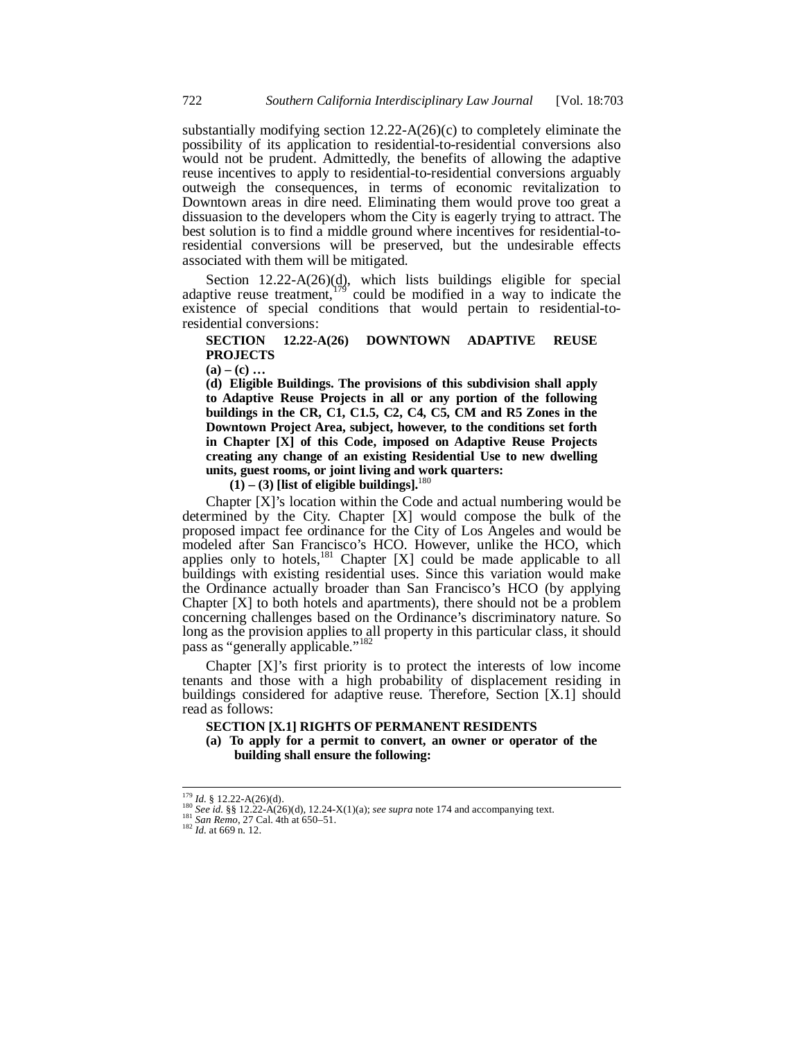substantially modifying section 12.22-A(26)(c) to completely eliminate the possibility of its application to residential-to-residential conversions also would not be prudent. Admittedly, the benefits of allowing the adaptive reuse incentives to apply to residential-to-residential conversions arguably outweigh the consequences, in terms of economic revitalization to Downtown areas in dire need. Eliminating them would prove too great a dissuasion to the developers whom the City is eagerly trying to attract. The best solution is to find a middle ground where incentives for residential-toresidential conversions will be preserved, but the undesirable effects associated with them will be mitigated.

Section  $12.22-A(26)(d)$ , which lists buildings eligible for special adaptive reuse treatment,<sup>179</sup> could be modified in a way to indicate the existence of special conditions that would pertain to residential-toresidential conversions:

# **SECTION 12.22-A(26) DOWNTOWN ADAPTIVE REUSE PROJECTS**

 $(a) - (c)$  ...

**(d) Eligible Buildings. The provisions of this subdivision shall apply to Adaptive Reuse Projects in all or any portion of the following buildings in the CR, C1, C1.5, C2, C4, C5, CM and R5 Zones in the Downtown Project Area, subject, however, to the conditions set forth in Chapter [X] of this Code, imposed on Adaptive Reuse Projects creating any change of an existing Residential Use to new dwelling units, guest rooms, or joint living and work quarters:** 

 $(1) - (3)$  [list of eligible buildings].<sup>180</sup>

Chapter [X]'s location within the Code and actual numbering would be determined by the City. Chapter [X] would compose the bulk of the proposed impact fee ordinance for the City of Los Angeles and would be modeled after San Francisco's HCO. However, unlike the HCO, which applies only to hotels,<sup>181</sup> Chapter  $[X]$  could be made applicable to all buildings with existing residential uses. Since this variation would make the Ordinance actually broader than San Francisco's HCO (by applying Chapter [X] to both hotels and apartments), there should not be a problem concerning challenges based on the Ordinance's discriminatory nature. So long as the provision applies to all property in this particular class, it should pass as "generally applicable."

Chapter [X]'s first priority is to protect the interests of low income tenants and those with a high probability of displacement residing in buildings considered for adaptive reuse. Therefore, Section [X.1] should read as follows:

## **SECTION [X.1] RIGHTS OF PERMANENT RESIDENTS**

**(a) To apply for a permit to convert, an owner or operator of the building shall ensure the following:** 

 $179$  *Id.* § 12.22-A(26)(d).

*Iso Id.* § 12.22-A(26)(d). 12.24-X(1)(a); *see supra* note 174 and accompanying text. <sup>181</sup> *See id.* §§ 12.22-A(26)(d), 12.24-X(1)(a); *see supra* note 174 and accompanying text. <sup>182</sup> *Id.* at 669 n. 12.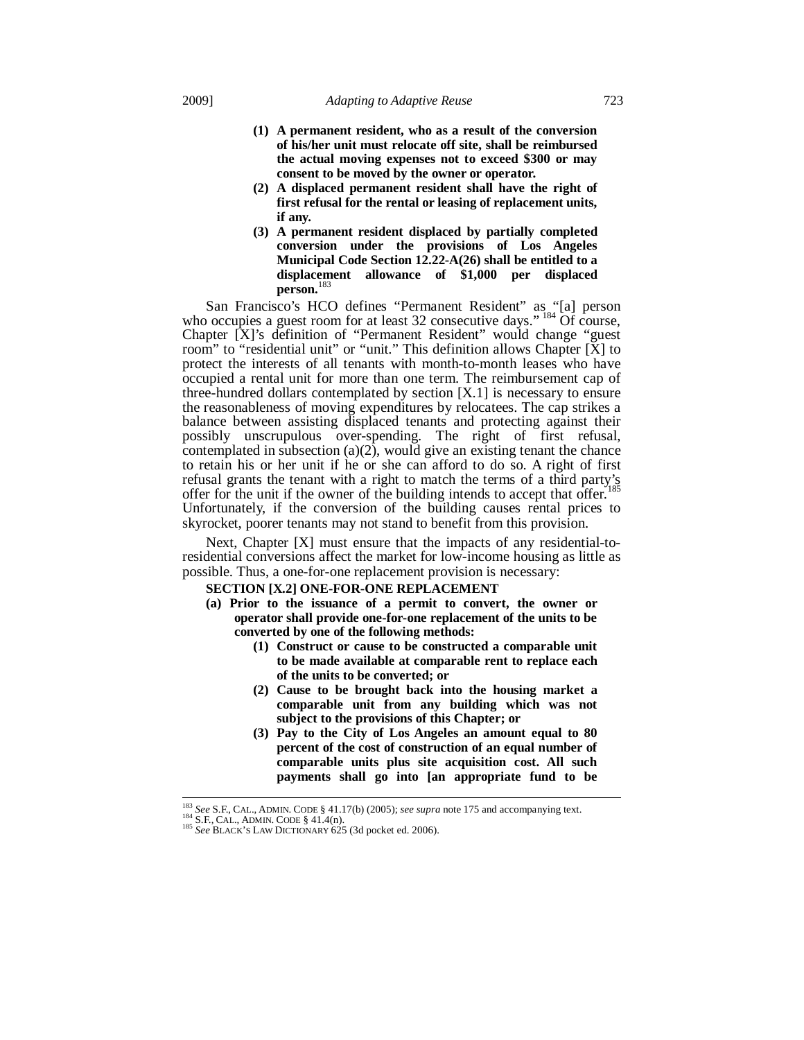- **(1) A permanent resident, who as a result of the conversion of his/her unit must relocate off site, shall be reimbursed the actual moving expenses not to exceed \$300 or may consent to be moved by the owner or operator.**
- **(2) A displaced permanent resident shall have the right of first refusal for the rental or leasing of replacement units, if any.**
- **(3) A permanent resident displaced by partially completed conversion under the provisions of Los Angeles Municipal Code Section 12.22-A(26) shall be entitled to a displacement allowance of \$1,000 per displaced person.**<sup>183</sup>

San Francisco's HCO defines "Permanent Resident" as "[a] person who occupies a guest room for at least 32 consecutive days." <sup>184</sup> Of course, Chapter [X]'s definition of "Permanent Resident" would change "guest room" to "residential unit" or "unit." This definition allows Chapter [X] to protect the interests of all tenants with month-to-month leases who have occupied a rental unit for more than one term. The reimbursement cap of three-hundred dollars contemplated by section [X.1] is necessary to ensure the reasonableness of moving expenditures by relocatees. The cap strikes a balance between assisting displaced tenants and protecting against their possibly unscrupulous over-spending. The right of first refusal, contemplated in subsection  $(a)(2)$ , would give an existing tenant the chance to retain his or her unit if he or she can afford to do so. A right of first refusal grants the tenant with a right to match the terms of a third party's refusal grants the tenant with a right to match the terms of a third party's offer for the unit if the owner of the building intends to accept that offer.<sup>1</sup> Unfortunately, if the conversion of the building causes rental prices to skyrocket, poorer tenants may not stand to benefit from this provision.

Next, Chapter [X] must ensure that the impacts of any residential-toresidential conversions affect the market for low-income housing as little as possible. Thus, a one-for-one replacement provision is necessary:

### **SECTION [X.2] ONE-FOR-ONE REPLACEMENT**

- **(a) Prior to the issuance of a permit to convert, the owner or operator shall provide one-for-one replacement of the units to be converted by one of the following methods:** 
	- **(1) Construct or cause to be constructed a comparable unit to be made available at comparable rent to replace each of the units to be converted; or**
	- **(2) Cause to be brought back into the housing market a comparable unit from any building which was not subject to the provisions of this Chapter; or**
	- **(3) Pay to the City of Los Angeles an amount equal to 80 percent of the cost of construction of an equal number of comparable units plus site acquisition cost. All such payments shall go into [an appropriate fund to be**

<sup>&</sup>lt;sup>183</sup> See S.F., CAL., ADMIN. CODE § 41.17(b) (2005); see supra note 175 and accompanying text.

<sup>184</sup> See S.f., CAL., ADMIN. CODE § 41.4(n).<br><sup>185</sup> See BLACK'S LAW DICTIONARY 625 (3d pocket ed. 2006).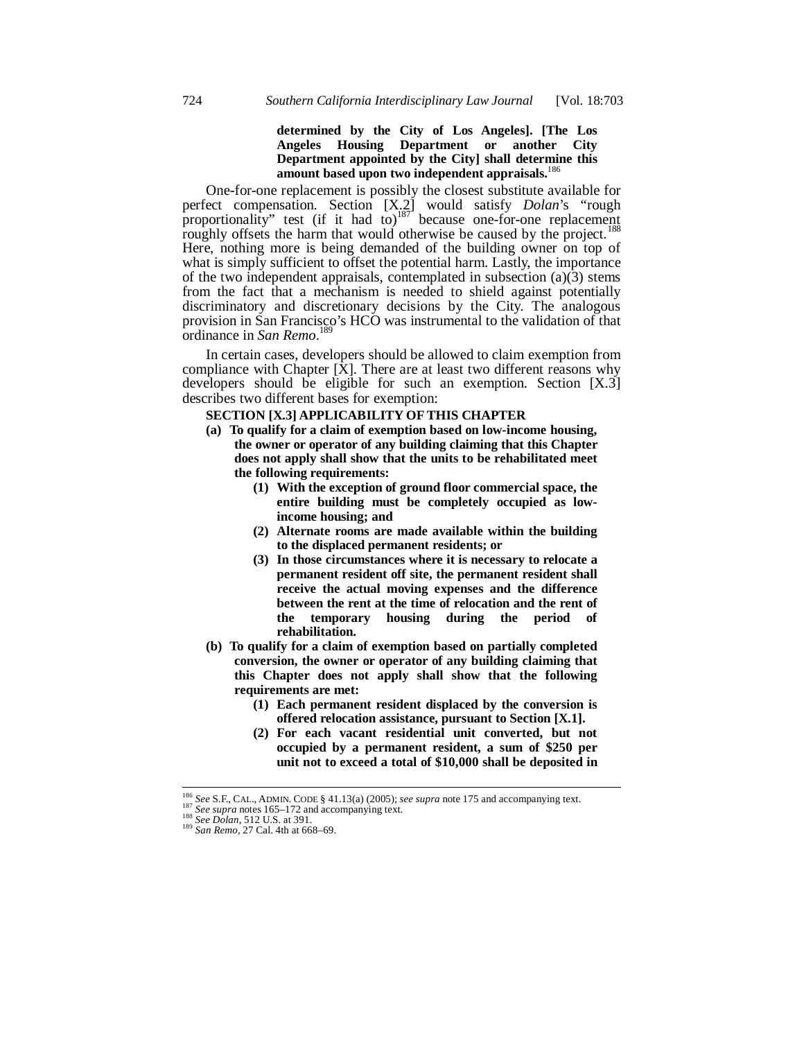# **determined by the City of Los Angeles]. [The Los Angeles Housing Department or another City Department appointed by the City] shall determine this amount based upon two independent appraisals.**<sup>186</sup>

One-for-one replacement is possibly the closest substitute available for perfect compensation. Section [X.2] would satisfy *Dolan*'s "rough proportionality" test (if it had to)<sup>187</sup> because one-for-one replacement roughly offsets the harm that would otherwise be caused by the project.<sup>188</sup> Here, nothing more is being demanded of the building owner on top of what is simply sufficient to offset the potential harm. Lastly, the importance of the two independent appraisals, contemplated in subsection (a)(3) stems from the fact that a mechanism is needed to shield against potentially discriminatory and discretionary decisions by the City. The analogous provision in San Francisco's HCO was instrumental to the validation of that ordinance in *San Remo*. 189

In certain cases, developers should be allowed to claim exemption from compliance with Chapter  $[X]$ . There are at least two different reasons why developers should be eligible for such an exemption. Section [X.3] describes two different bases for exemption:

## **SECTION [X.3] APPLICABILITY OF THIS CHAPTER**

- **(a) To qualify for a claim of exemption based on low-income housing, the owner or operator of any building claiming that this Chapter does not apply shall show that the units to be rehabilitated meet the following requirements:** 
	- **(1) With the exception of ground floor commercial space, the entire building must be completely occupied as lowincome housing; and**
	- **(2) Alternate rooms are made available within the building to the displaced permanent residents; or**
	- **(3) In those circumstances where it is necessary to relocate a permanent resident off site, the permanent resident shall receive the actual moving expenses and the difference between the rent at the time of relocation and the rent of the temporary housing during the period of rehabilitation.**
- **(b) To qualify for a claim of exemption based on partially completed conversion, the owner or operator of any building claiming that this Chapter does not apply shall show that the following requirements are met:** 
	- **(1) Each permanent resident displaced by the conversion is offered relocation assistance, pursuant to Section [X.1].**
	- **(2) For each vacant residential unit converted, but not occupied by a permanent resident, a sum of \$250 per unit not to exceed a total of \$10,000 shall be deposited in**

<sup>&</sup>lt;sup>186</sup> See S.F., CAL., ADMIN. CODE § 41.13(a) (2005); *see supra* note 175 and accompanying text.<br><sup>187</sup> See supra notes 165–172 and accompanying text.<br><sup>188</sup> See Dolan, 512 U.S. at 391.<br><sup>189</sup> San Remo, 27 Cal. 4th at 668–69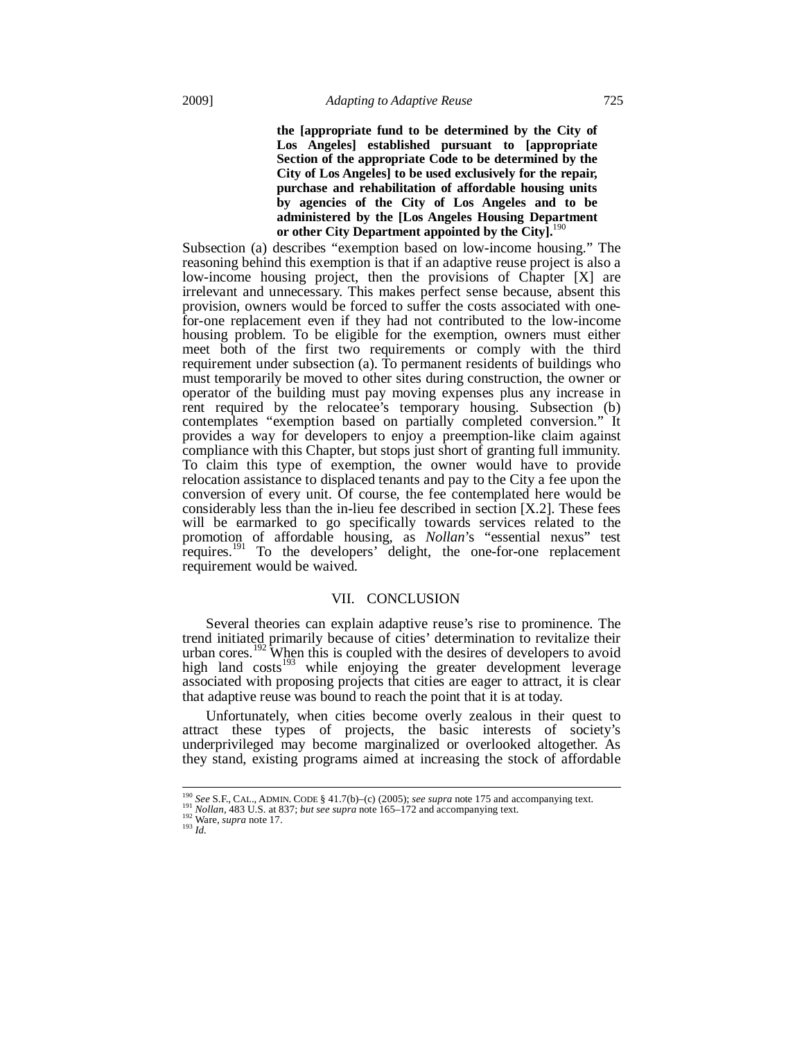**the [appropriate fund to be determined by the City of Los Angeles] established pursuant to [appropriate Section of the appropriate Code to be determined by the City of Los Angeles] to be used exclusively for the repair, purchase and rehabilitation of affordable housing units by agencies of the City of Los Angeles and to be administered by the [Los Angeles Housing Department or other City Department appointed by the City].**<sup>190</sup>

Subsection (a) describes "exemption based on low-income housing." The reasoning behind this exemption is that if an adaptive reuse project is also a low-income housing project, then the provisions of Chapter [X] are irrelevant and unnecessary. This makes perfect sense because, absent this provision, owners would be forced to suffer the costs associated with onefor-one replacement even if they had not contributed to the low-income housing problem. To be eligible for the exemption, owners must either meet both of the first two requirements or comply with the third requirement under subsection (a). To permanent residents of buildings who must temporarily be moved to other sites during construction, the owner or operator of the building must pay moving expenses plus any increase in rent required by the relocatee's temporary housing. Subsection (b) contemplates "exemption based on partially completed conversion." It provides a way for developers to enjoy a preemption-like claim against compliance with this Chapter, but stops just short of granting full immunity. To claim this type of exemption, the owner would have to provide relocation assistance to displaced tenants and pay to the City a fee upon the conversion of every unit. Of course, the fee contemplated here would be considerably less than the in-lieu fee described in section [X.2]. These fees will be earmarked to go specifically towards services related to the promotion of affordable housing, as *Nollan*'s "essential nexus" test requires.<sup>191</sup> To the developers' delight, the one-for-one replacement requirement would be waived.

#### VII. CONCLUSION

Several theories can explain adaptive reuse's rise to prominence. The trend initiated primarily because of cities' determination to revitalize their urban cores.<sup>192</sup> When this is coupled with the desires of developers to avoid high land costs<sup>193</sup> while enjoying the greater development leverage associated with proposing projects that cities are eager to attract, it is clear that adaptive reuse was bound to reach the point that it is at today.

Unfortunately, when cities become overly zealous in their quest to attract these types of projects, the basic interests of society's underprivileged may become marginalized or overlooked altogether. As they stand, existing programs aimed at increasing the stock of affordable

<sup>&</sup>lt;sup>190</sup> See S.F., CAL., ADMIN. CODE § 41.7(b)–(c) (2005); *see supra* note 175 and accompanying text.<br><sup>191</sup> *Nollan*, 483 U.S. at 837; *but see supra* note 165–172 and accompanying text.<br><sup>192</sup> Ware, *supra* note 17.<br><sup>193</sup>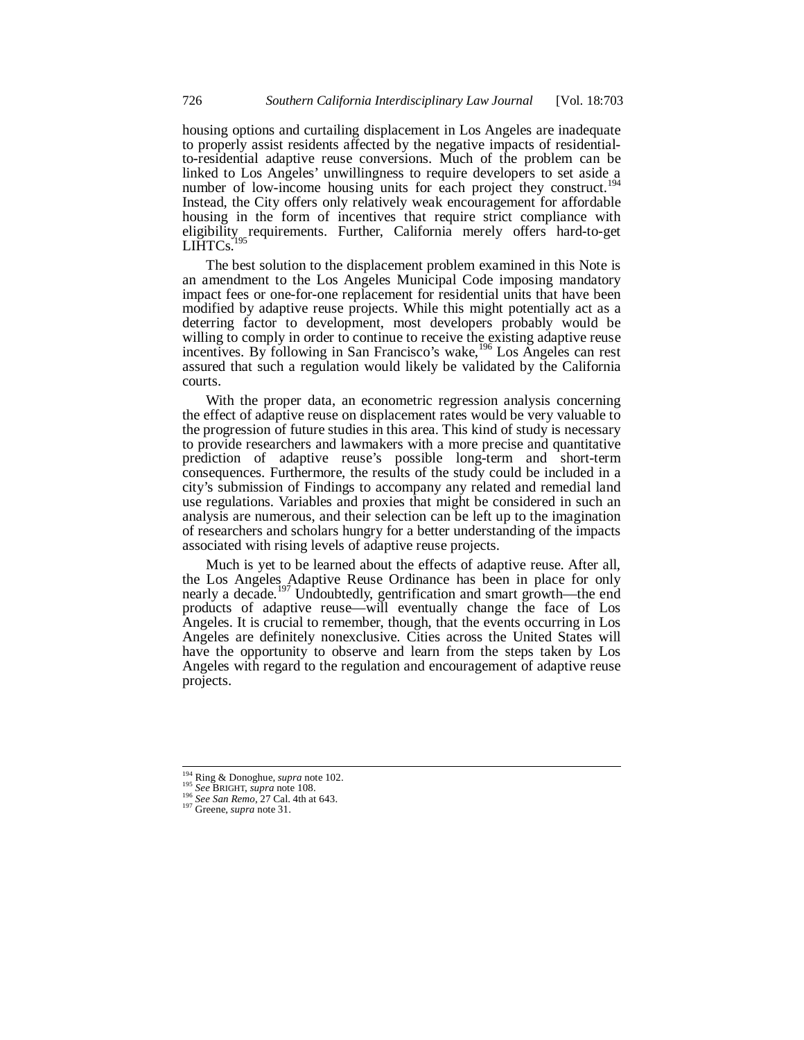housing options and curtailing displacement in Los Angeles are inadequate to properly assist residents affected by the negative impacts of residentialto-residential adaptive reuse conversions. Much of the problem can be linked to Los Angeles' unwillingness to require developers to set aside a number of low-income housing units for each project they construct.<sup>194</sup> Instead, the City offers only relatively weak encouragement for affordable housing in the form of incentives that require strict compliance with eligibility requirements. Further, California merely offers hard-to-get  $LIHTCs.$ 

The best solution to the displacement problem examined in this Note is an amendment to the Los Angeles Municipal Code imposing mandatory impact fees or one-for-one replacement for residential units that have been modified by adaptive reuse projects. While this might potentially act as a deterring factor to development, most developers probably would be willing to comply in order to continue to receive the existing adaptive reuse incentives. By following in San Francisco's wake, <sup>196</sup> Los Angeles can rest assured that such a regulation would likely be validated by the California courts.

With the proper data, an econometric regression analysis concerning the effect of adaptive reuse on displacement rates would be very valuable to the progression of future studies in this area. This kind of study is necessary to provide researchers and lawmakers with a more precise and quantitative prediction of adaptive reuse's possible long-term and short-term consequences. Furthermore, the results of the study could be included in a city's submission of Findings to accompany any related and remedial land use regulations. Variables and proxies that might be considered in such an analysis are numerous, and their selection can be left up to the imagination of researchers and scholars hungry for a better understanding of the impacts associated with rising levels of adaptive reuse projects.

Much is yet to be learned about the effects of adaptive reuse. After all, the Los Angeles Adaptive Reuse Ordinance has been in place for only nearly a decade.<sup>197</sup> Undoubtedly, gentrification and smart growth—the end products of adaptive reuse—will eventually change the face of Los Angeles. It is crucial to remember, though, that the events occurring in Los Angeles are definitely nonexclusive. Cities across the United States will have the opportunity to observe and learn from the steps taken by Los Angeles with regard to the regulation and encouragement of adaptive reuse projects.

<sup>&</sup>lt;sup>194</sup> Ring & Donoghue, *supra* note 102.

<sup>194</sup> Ring & Donoghue, *supra* note 102. 195 *See* BRIGHT, *supra* note 108. 196 *See San Remo*, 27 Cal. 4th at 643. 197 Greene, *supra* note 31.